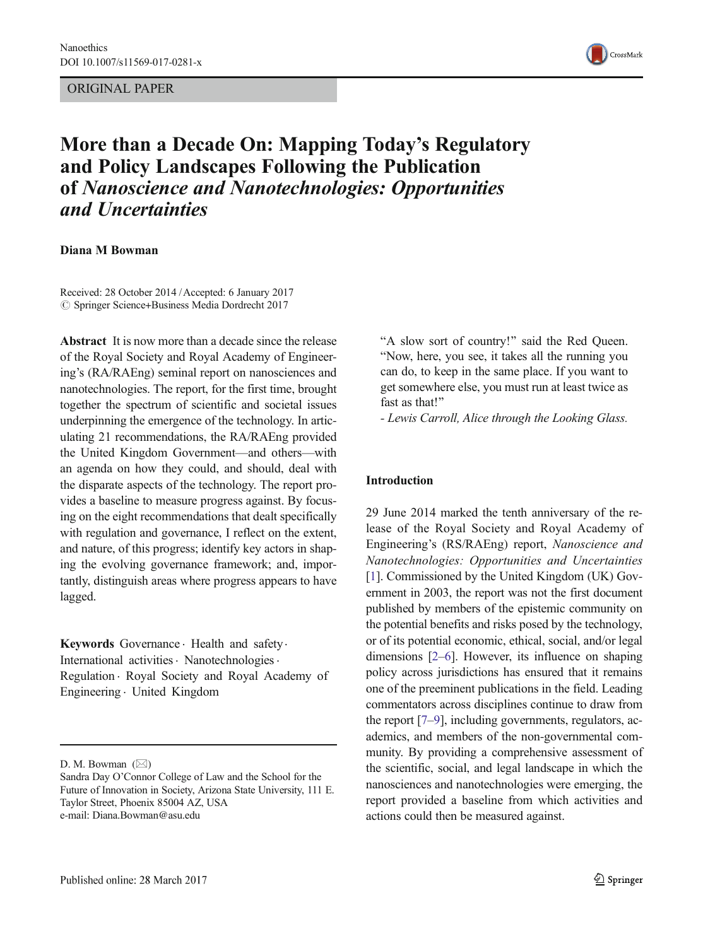ORIGINAL PAPER



More than a Decade On: Mapping Today's Regulatory and Policy Landscapes Following the Publication of Nanoscience and Nanotechnologies: Opportunities and Uncertainties

#### Diana M Bowman

Received: 28 October 2014 /Accepted: 6 January 2017  $\oslash$  Springer Science+Business Media Dordrecht 2017

Abstract It is now more than a decade since the release of the Royal Society and Royal Academy of Engineering's (RA/RAEng) seminal report on nanosciences and nanotechnologies. The report, for the first time, brought together the spectrum of scientific and societal issues underpinning the emergence of the technology. In articulating 21 recommendations, the RA/RAEng provided the United Kingdom Government—and others—with an agenda on how they could, and should, deal with the disparate aspects of the technology. The report provides a baseline to measure progress against. By focusing on the eight recommendations that dealt specifically with regulation and governance, I reflect on the extent, and nature, of this progress; identify key actors in shaping the evolving governance framework; and, importantly, distinguish areas where progress appears to have lagged.

Keywords Governance . Health and safety. International activities · Nanotechnologies · Regulation . Royal Society and Royal Academy of Engineering . United Kingdom

D. M. Bowman  $(\boxtimes)$ 

"A slow sort of country!" said the Red Queen. "Now, here, you see, it takes all the running you can do, to keep in the same place. If you want to get somewhere else, you must run at least twice as fast as that!"

- Lewis Carroll, Alice through the Looking Glass.

### Introduction

29 June 2014 marked the tenth anniversary of the release of the Royal Society and Royal Academy of Engineering's (RS/RAEng) report, Nanoscience and Nanotechnologies: Opportunities and Uncertainties [\[1\]](#page-13-0). Commissioned by the United Kingdom (UK) Government in 2003, the report was not the first document published by members of the epistemic community on the potential benefits and risks posed by the technology, or of its potential economic, ethical, social, and/or legal dimensions [\[2](#page-13-0)–[6](#page-13-0)]. However, its influence on shaping policy across jurisdictions has ensured that it remains one of the preeminent publications in the field. Leading commentators across disciplines continue to draw from the report [\[7](#page-13-0)–[9\]](#page-13-0), including governments, regulators, academics, and members of the non-governmental community. By providing a comprehensive assessment of the scientific, social, and legal landscape in which the nanosciences and nanotechnologies were emerging, the report provided a baseline from which activities and actions could then be measured against.

Sandra Day O'Connor College of Law and the School for the Future of Innovation in Society, Arizona State University, 111 E. Taylor Street, Phoenix 85004 AZ, USA e-mail: Diana.Bowman@asu.edu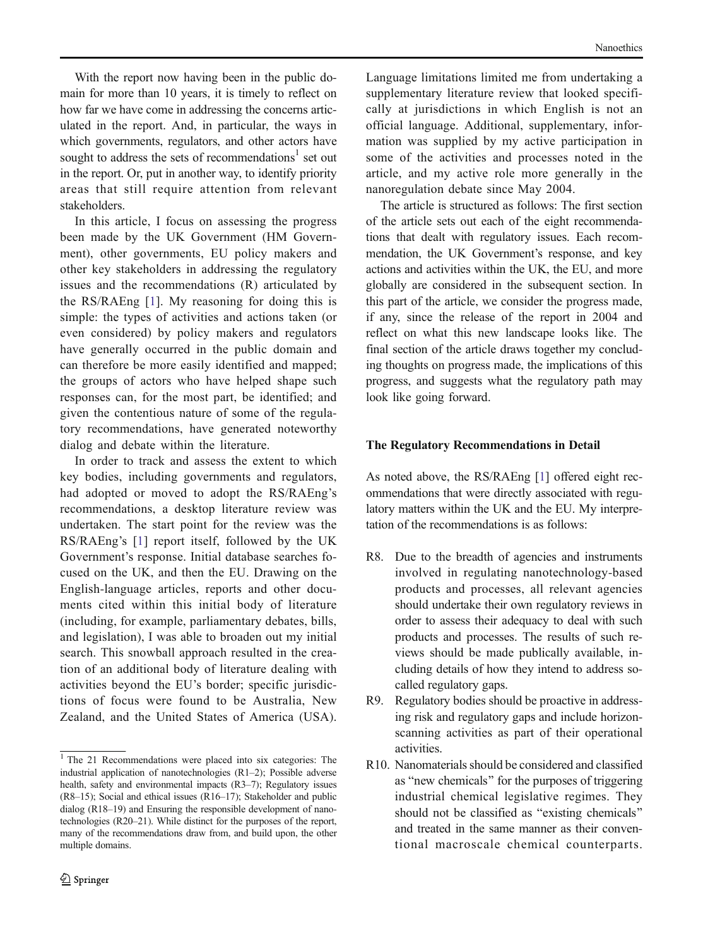With the report now having been in the public domain for more than 10 years, it is timely to reflect on how far we have come in addressing the concerns articulated in the report. And, in particular, the ways in which governments, regulators, and other actors have sought to address the sets of recommendations<sup>1</sup> set out in the report. Or, put in another way, to identify priority areas that still require attention from relevant stakeholders.

In this article, I focus on assessing the progress been made by the UK Government (HM Government), other governments, EU policy makers and other key stakeholders in addressing the regulatory issues and the recommendations (R) articulated by the RS/RAEng [\[1](#page-13-0)]. My reasoning for doing this is simple: the types of activities and actions taken (or even considered) by policy makers and regulators have generally occurred in the public domain and can therefore be more easily identified and mapped; the groups of actors who have helped shape such responses can, for the most part, be identified; and given the contentious nature of some of the regulatory recommendations, have generated noteworthy dialog and debate within the literature.

In order to track and assess the extent to which key bodies, including governments and regulators, had adopted or moved to adopt the RS/RAEng's recommendations, a desktop literature review was undertaken. The start point for the review was the RS/RAEng's [[1\]](#page-13-0) report itself, followed by the UK Government's response. Initial database searches focused on the UK, and then the EU. Drawing on the English-language articles, reports and other documents cited within this initial body of literature (including, for example, parliamentary debates, bills, and legislation), I was able to broaden out my initial search. This snowball approach resulted in the creation of an additional body of literature dealing with activities beyond the EU's border; specific jurisdictions of focus were found to be Australia, New Zealand, and the United States of America (USA). Language limitations limited me from undertaking a supplementary literature review that looked specifically at jurisdictions in which English is not an official language. Additional, supplementary, information was supplied by my active participation in some of the activities and processes noted in the article, and my active role more generally in the nanoregulation debate since May 2004.

The article is structured as follows: The first section of the article sets out each of the eight recommendations that dealt with regulatory issues. Each recommendation, the UK Government's response, and key actions and activities within the UK, the EU, and more globally are considered in the subsequent section. In this part of the article, we consider the progress made, if any, since the release of the report in 2004 and reflect on what this new landscape looks like. The final section of the article draws together my concluding thoughts on progress made, the implications of this progress, and suggests what the regulatory path may look like going forward.

# The Regulatory Recommendations in Detail

As noted above, the RS/RAEng [[1\]](#page-13-0) offered eight recommendations that were directly associated with regulatory matters within the UK and the EU. My interpretation of the recommendations is as follows:

- R8. Due to the breadth of agencies and instruments involved in regulating nanotechnology-based products and processes, all relevant agencies should undertake their own regulatory reviews in order to assess their adequacy to deal with such products and processes. The results of such reviews should be made publically available, including details of how they intend to address socalled regulatory gaps.
- R9. Regulatory bodies should be proactive in addressing risk and regulatory gaps and include horizonscanning activities as part of their operational activities.
- R10. Nanomaterials should be considered and classified as "new chemicals" for the purposes of triggering industrial chemical legislative regimes. They should not be classified as "existing chemicals" and treated in the same manner as their conventional macroscale chemical counterparts.

<sup>&</sup>lt;sup>1</sup> The 21 Recommendations were placed into six categories: The industrial application of nanotechnologies (R1–2); Possible adverse health, safety and environmental impacts (R3–7); Regulatory issues (R8–15); Social and ethical issues (R16–17); Stakeholder and public dialog (R18–19) and Ensuring the responsible development of nanotechnologies (R20–21). While distinct for the purposes of the report, many of the recommendations draw from, and build upon, the other multiple domains.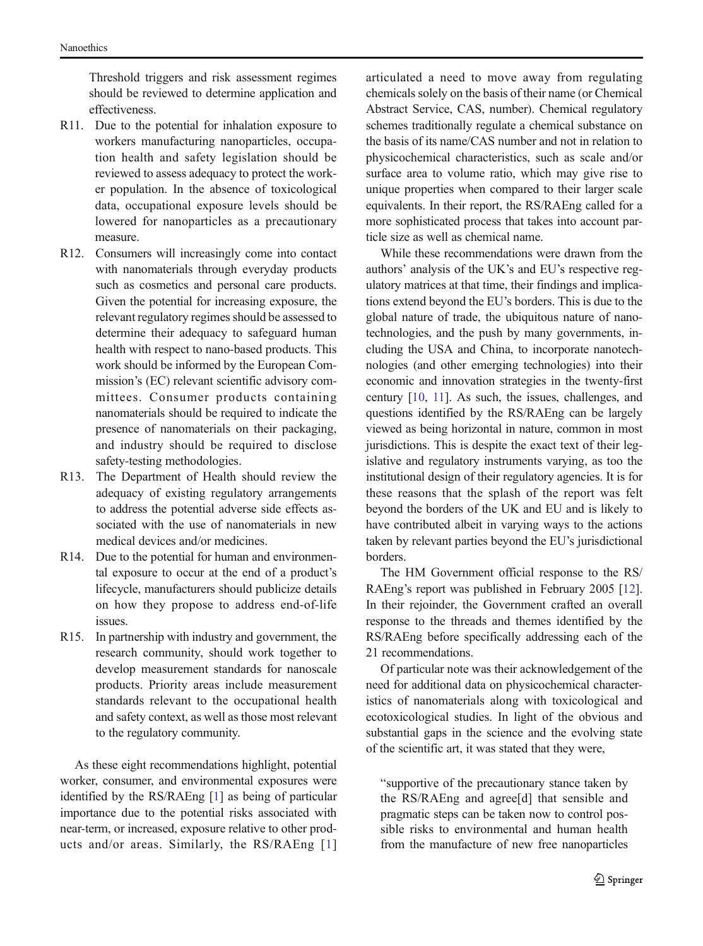Threshold triggers and risk assessment regimes should be reviewed to determine application and effectiveness.

- R11. Due to the potential for inhalation exposure to workers manufacturing nanoparticles, occupation health and safety legislation should be reviewed to assess adequacy to protect the worker population. In the absence of toxicological data, occupational exposure levels should be lowered for nanoparticles as a precautionary measure.
- R12. Consumers will increasingly come into contact with nanomaterials through everyday products such as cosmetics and personal care products. Given the potential for increasing exposure, the relevant regulatory regimes should be assessed to determine their adequacy to safeguard human health with respect to nano-based products. This work should be informed by the European Commission's (EC) relevant scientific advisory committees. Consumer products containing nanomaterials should be required to indicate the presence of nanomaterials on their packaging, and industry should be required to disclose safety-testing methodologies.
- R13. The Department of Health should review the adequacy of existing regulatory arrangements to address the potential adverse side effects associated with the use of nanomaterials in new medical devices and/or medicines.
- R14. Due to the potential for human and environmental exposure to occur at the end of a product's lifecycle, manufacturers should publicize details on how they propose to address end-of-life issues.
- R15. In partnership with industry and government, the research community, should work together to develop measurement standards for nanoscale products. Priority areas include measurement standards relevant to the occupational health and safety context, as well as those most relevant to the regulatory community.

As these eight recommendations highlight, potential worker, consumer, and environmental exposures were identified by the RS/RAEng [\[1\]](#page-13-0) as being of particular importance due to the potential risks associated with near-term, or increased, exposure relative to other products and/or areas. Similarly, the RS/RAEng [[1\]](#page-13-0)

articulated a need to move away from regulating chemicals solely on the basis of their name (or Chemical Abstract Service, CAS, number). Chemical regulatory schemes traditionally regulate a chemical substance on the basis of its name/CAS number and not in relation to physicochemical characteristics, such as scale and/or surface area to volume ratio, which may give rise to unique properties when compared to their larger scale equivalents. In their report, the RS/RAEng called for a more sophisticated process that takes into account particle size as well as chemical name.

While these recommendations were drawn from the authors' analysis of the UK's and EU's respective regulatory matrices at that time, their findings and implications extend beyond the EU's borders. This is due to the global nature of trade, the ubiquitous nature of nanotechnologies, and the push by many governments, including the USA and China, to incorporate nanotechnologies (and other emerging technologies) into their economic and innovation strategies in the twenty-first century [[10,](#page-13-0) [11](#page-13-0)]. As such, the issues, challenges, and questions identified by the RS/RAEng can be largely viewed as being horizontal in nature, common in most jurisdictions. This is despite the exact text of their legislative and regulatory instruments varying, as too the institutional design of their regulatory agencies. It is for these reasons that the splash of the report was felt beyond the borders of the UK and EU and is likely to have contributed albeit in varying ways to the actions taken by relevant parties beyond the EU's jurisdictional borders.

The HM Government official response to the RS/ RAEng's report was published in February 2005 [[12\]](#page-13-0). In their rejoinder, the Government crafted an overall response to the threads and themes identified by the RS/RAEng before specifically addressing each of the 21 recommendations.

Of particular note was their acknowledgement of the need for additional data on physicochemical characteristics of nanomaterials along with toxicological and ecotoxicological studies. In light of the obvious and substantial gaps in the science and the evolving state of the scientific art, it was stated that they were,

"supportive of the precautionary stance taken by the RS/RAEng and agree[d] that sensible and pragmatic steps can be taken now to control possible risks to environmental and human health from the manufacture of new free nanoparticles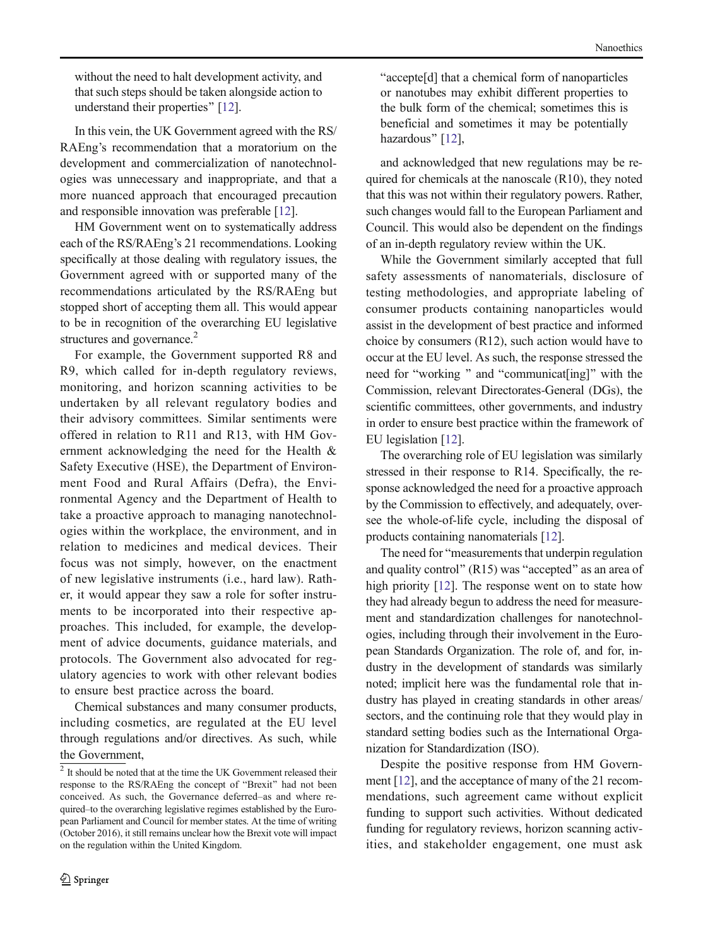without the need to halt development activity, and that such steps should be taken alongside action to understand their properties" [[12](#page-13-0)].

In this vein, the UK Government agreed with the RS/ RAEng's recommendation that a moratorium on the development and commercialization of nanotechnologies was unnecessary and inappropriate, and that a more nuanced approach that encouraged precaution and responsible innovation was preferable [[12](#page-13-0)].

HM Government went on to systematically address each of the RS/RAEng's 21 recommendations. Looking specifically at those dealing with regulatory issues, the Government agreed with or supported many of the recommendations articulated by the RS/RAEng but stopped short of accepting them all. This would appear to be in recognition of the overarching EU legislative structures and governance.<sup>2</sup>

For example, the Government supported R8 and R9, which called for in-depth regulatory reviews, monitoring, and horizon scanning activities to be undertaken by all relevant regulatory bodies and their advisory committees. Similar sentiments were offered in relation to R11 and R13, with HM Government acknowledging the need for the Health & Safety Executive (HSE), the Department of Environment Food and Rural Affairs (Defra), the Environmental Agency and the Department of Health to take a proactive approach to managing nanotechnologies within the workplace, the environment, and in relation to medicines and medical devices. Their focus was not simply, however, on the enactment of new legislative instruments (i.e., hard law). Rather, it would appear they saw a role for softer instruments to be incorporated into their respective approaches. This included, for example, the development of advice documents, guidance materials, and protocols. The Government also advocated for regulatory agencies to work with other relevant bodies to ensure best practice across the board.

Chemical substances and many consumer products, including cosmetics, are regulated at the EU level through regulations and/or directives. As such, while the Government,

"accepte<sup>[d]</sup> that a chemical form of nanoparticles or nanotubes may exhibit different properties to the bulk form of the chemical; sometimes this is beneficial and sometimes it may be potentially hazardous" [\[12](#page-13-0)],

and acknowledged that new regulations may be required for chemicals at the nanoscale (R10), they noted that this was not within their regulatory powers. Rather, such changes would fall to the European Parliament and Council. This would also be dependent on the findings of an in-depth regulatory review within the UK.

While the Government similarly accepted that full safety assessments of nanomaterials, disclosure of testing methodologies, and appropriate labeling of consumer products containing nanoparticles would assist in the development of best practice and informed choice by consumers (R12), such action would have to occur at the EU level. As such, the response stressed the need for "working" and "communicat[ing]" with the Commission, relevant Directorates-General (DGs), the scientific committees, other governments, and industry in order to ensure best practice within the framework of EU legislation [\[12](#page-13-0)].

The overarching role of EU legislation was similarly stressed in their response to R14. Specifically, the response acknowledged the need for a proactive approach by the Commission to effectively, and adequately, oversee the whole-of-life cycle, including the disposal of products containing nanomaterials [\[12\]](#page-13-0).

The need for "measurements that underpin regulation" and quality control"  $(R15)$  was "accepted" as an area of high priority [\[12\]](#page-13-0). The response went on to state how they had already begun to address the need for measurement and standardization challenges for nanotechnologies, including through their involvement in the European Standards Organization. The role of, and for, industry in the development of standards was similarly noted; implicit here was the fundamental role that industry has played in creating standards in other areas/ sectors, and the continuing role that they would play in standard setting bodies such as the International Organization for Standardization (ISO).

Despite the positive response from HM Government [[12](#page-13-0)], and the acceptance of many of the 21 recommendations, such agreement came without explicit funding to support such activities. Without dedicated funding for regulatory reviews, horizon scanning activities, and stakeholder engagement, one must ask

 $2$  It should be noted that at the time the UK Government released their response to the RS/RAEng the concept of "Brexit" had not been conceived. As such, the Governance deferred–as and where required–to the overarching legislative regimes established by the European Parliament and Council for member states. At the time of writing (October 2016), it still remains unclear how the Brexit vote will impact on the regulation within the United Kingdom.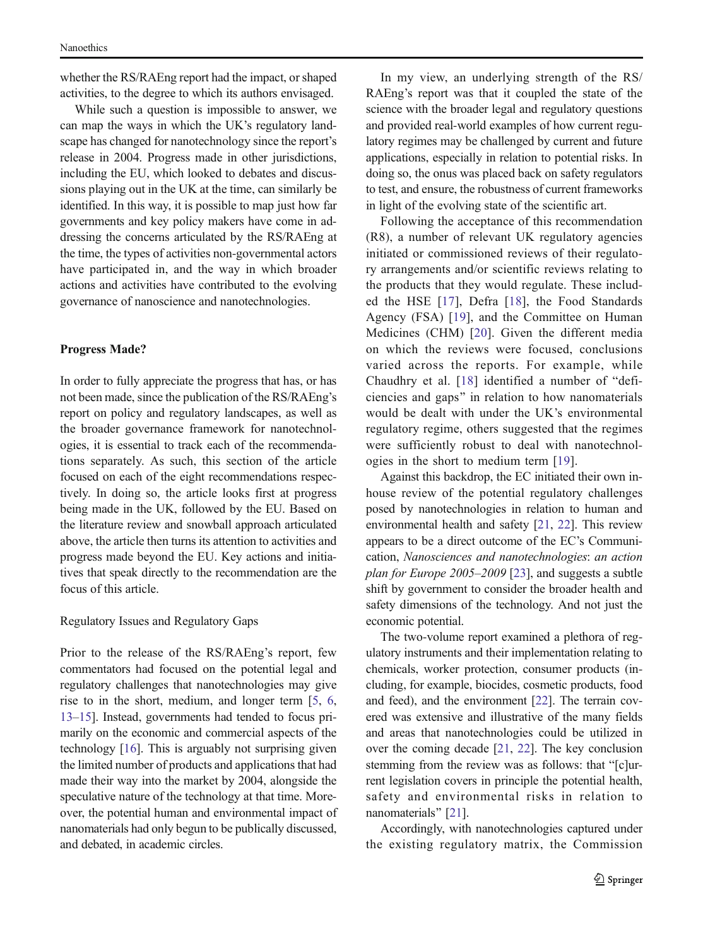whether the RS/RAEng report had the impact, or shaped activities, to the degree to which its authors envisaged.

While such a question is impossible to answer, we can map the ways in which the UK's regulatory landscape has changed for nanotechnology since the report's release in 2004. Progress made in other jurisdictions, including the EU, which looked to debates and discussions playing out in the UK at the time, can similarly be identified. In this way, it is possible to map just how far governments and key policy makers have come in addressing the concerns articulated by the RS/RAEng at the time, the types of activities non-governmental actors have participated in, and the way in which broader actions and activities have contributed to the evolving governance of nanoscience and nanotechnologies.

### Progress Made?

In order to fully appreciate the progress that has, or has not been made, since the publication of the RS/RAEng's report on policy and regulatory landscapes, as well as the broader governance framework for nanotechnologies, it is essential to track each of the recommendations separately. As such, this section of the article focused on each of the eight recommendations respectively. In doing so, the article looks first at progress being made in the UK, followed by the EU. Based on the literature review and snowball approach articulated above, the article then turns its attention to activities and progress made beyond the EU. Key actions and initiatives that speak directly to the recommendation are the focus of this article.

#### Regulatory Issues and Regulatory Gaps

Prior to the release of the RS/RAEng's report, few commentators had focused on the potential legal and regulatory challenges that nanotechnologies may give rise to in the short, medium, and longer term [\[5](#page-13-0), [6,](#page-13-0) [13](#page-13-0)–[15](#page-13-0)]. Instead, governments had tended to focus primarily on the economic and commercial aspects of the technology [\[16](#page-13-0)]. This is arguably not surprising given the limited number of products and applications that had made their way into the market by 2004, alongside the speculative nature of the technology at that time. Moreover, the potential human and environmental impact of nanomaterials had only begun to be publically discussed, and debated, in academic circles.

In my view, an underlying strength of the RS/ RAEng's report was that it coupled the state of the science with the broader legal and regulatory questions and provided real-world examples of how current regulatory regimes may be challenged by current and future applications, especially in relation to potential risks. In doing so, the onus was placed back on safety regulators to test, and ensure, the robustness of current frameworks in light of the evolving state of the scientific art.

Following the acceptance of this recommendation (R8), a number of relevant UK regulatory agencies initiated or commissioned reviews of their regulatory arrangements and/or scientific reviews relating to the products that they would regulate. These included the HSE [[17](#page-13-0)], Defra [\[18](#page-13-0)], the Food Standards Agency (FSA) [[19\]](#page-13-0), and the Committee on Human Medicines (CHM) [\[20](#page-13-0)]. Given the different media on which the reviews were focused, conclusions varied across the reports. For example, while Chaudhry et al.  $[18]$  $[18]$  identified a number of "deficiencies and gaps^ in relation to how nanomaterials would be dealt with under the UK's environmental regulatory regime, others suggested that the regimes were sufficiently robust to deal with nanotechnologies in the short to medium term [[19](#page-13-0)].

Against this backdrop, the EC initiated their own inhouse review of the potential regulatory challenges posed by nanotechnologies in relation to human and environmental health and safety [[21](#page-13-0), [22](#page-14-0)]. This review appears to be a direct outcome of the EC's Communication, Nanosciences and nanotechnologies: an action plan for Europe 2005–2009 [[23\]](#page-14-0), and suggests a subtle shift by government to consider the broader health and safety dimensions of the technology. And not just the economic potential.

The two-volume report examined a plethora of regulatory instruments and their implementation relating to chemicals, worker protection, consumer products (including, for example, biocides, cosmetic products, food and feed), and the environment [\[22\]](#page-14-0). The terrain covered was extensive and illustrative of the many fields and areas that nanotechnologies could be utilized in over the coming decade [\[21](#page-13-0), [22\]](#page-14-0). The key conclusion stemming from the review was as follows: that "[c]urrent legislation covers in principle the potential health, safety and environmental risks in relation to nanomaterials" [\[21\]](#page-13-0).

Accordingly, with nanotechnologies captured under the existing regulatory matrix, the Commission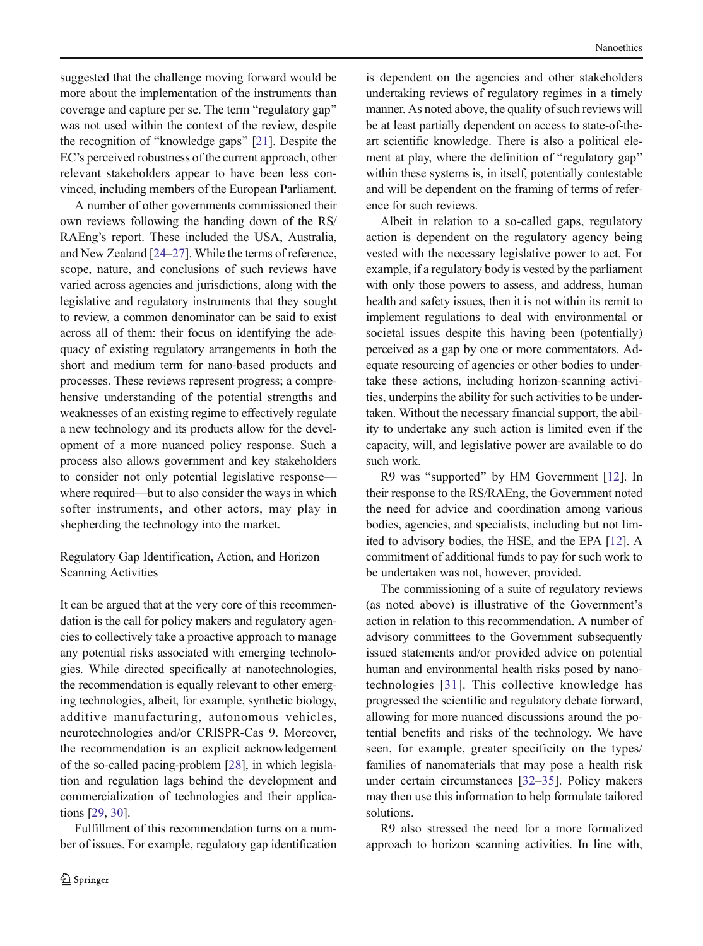suggested that the challenge moving forward would be more about the implementation of the instruments than coverage and capture per se. The term "regulatory gap" was not used within the context of the review, despite the recognition of "knowledge gaps"  $[21]$  $[21]$ . Despite the EC's perceived robustness of the current approach, other relevant stakeholders appear to have been less convinced, including members of the European Parliament.

A number of other governments commissioned their own reviews following the handing down of the RS/ RAEng's report. These included the USA, Australia, and New Zealand [\[24](#page-14-0)–[27\]](#page-14-0). While the terms of reference, scope, nature, and conclusions of such reviews have varied across agencies and jurisdictions, along with the legislative and regulatory instruments that they sought to review, a common denominator can be said to exist across all of them: their focus on identifying the adequacy of existing regulatory arrangements in both the short and medium term for nano-based products and processes. These reviews represent progress; a comprehensive understanding of the potential strengths and weaknesses of an existing regime to effectively regulate a new technology and its products allow for the development of a more nuanced policy response. Such a process also allows government and key stakeholders to consider not only potential legislative response where required—but to also consider the ways in which softer instruments, and other actors, may play in shepherding the technology into the market.

Regulatory Gap Identification, Action, and Horizon Scanning Activities

It can be argued that at the very core of this recommendation is the call for policy makers and regulatory agencies to collectively take a proactive approach to manage any potential risks associated with emerging technologies. While directed specifically at nanotechnologies, the recommendation is equally relevant to other emerging technologies, albeit, for example, synthetic biology, additive manufacturing, autonomous vehicles, neurotechnologies and/or CRISPR-Cas 9. Moreover, the recommendation is an explicit acknowledgement of the so-called pacing-problem [\[28\]](#page-14-0), in which legislation and regulation lags behind the development and commercialization of technologies and their applications [\[29](#page-14-0), [30\]](#page-14-0).

Fulfillment of this recommendation turns on a number of issues. For example, regulatory gap identification is dependent on the agencies and other stakeholders undertaking reviews of regulatory regimes in a timely manner. As noted above, the quality of such reviews will be at least partially dependent on access to state-of-theart scientific knowledge. There is also a political element at play, where the definition of "regulatory gap" within these systems is, in itself, potentially contestable and will be dependent on the framing of terms of reference for such reviews.

Albeit in relation to a so-called gaps, regulatory action is dependent on the regulatory agency being vested with the necessary legislative power to act. For example, if a regulatory body is vested by the parliament with only those powers to assess, and address, human health and safety issues, then it is not within its remit to implement regulations to deal with environmental or societal issues despite this having been (potentially) perceived as a gap by one or more commentators. Adequate resourcing of agencies or other bodies to undertake these actions, including horizon-scanning activities, underpins the ability for such activities to be undertaken. Without the necessary financial support, the ability to undertake any such action is limited even if the capacity, will, and legislative power are available to do such work.

R9 was "supported" by HM Government [[12\]](#page-13-0). In their response to the RS/RAEng, the Government noted the need for advice and coordination among various bodies, agencies, and specialists, including but not limited to advisory bodies, the HSE, and the EPA [[12](#page-13-0)]. A commitment of additional funds to pay for such work to be undertaken was not, however, provided.

The commissioning of a suite of regulatory reviews (as noted above) is illustrative of the Government's action in relation to this recommendation. A number of advisory committees to the Government subsequently issued statements and/or provided advice on potential human and environmental health risks posed by nanotechnologies [[31\]](#page-14-0). This collective knowledge has progressed the scientific and regulatory debate forward, allowing for more nuanced discussions around the potential benefits and risks of the technology. We have seen, for example, greater specificity on the types/ families of nanomaterials that may pose a health risk under certain circumstances [[32](#page-14-0)–[35\]](#page-14-0). Policy makers may then use this information to help formulate tailored solutions.

R9 also stressed the need for a more formalized approach to horizon scanning activities. In line with,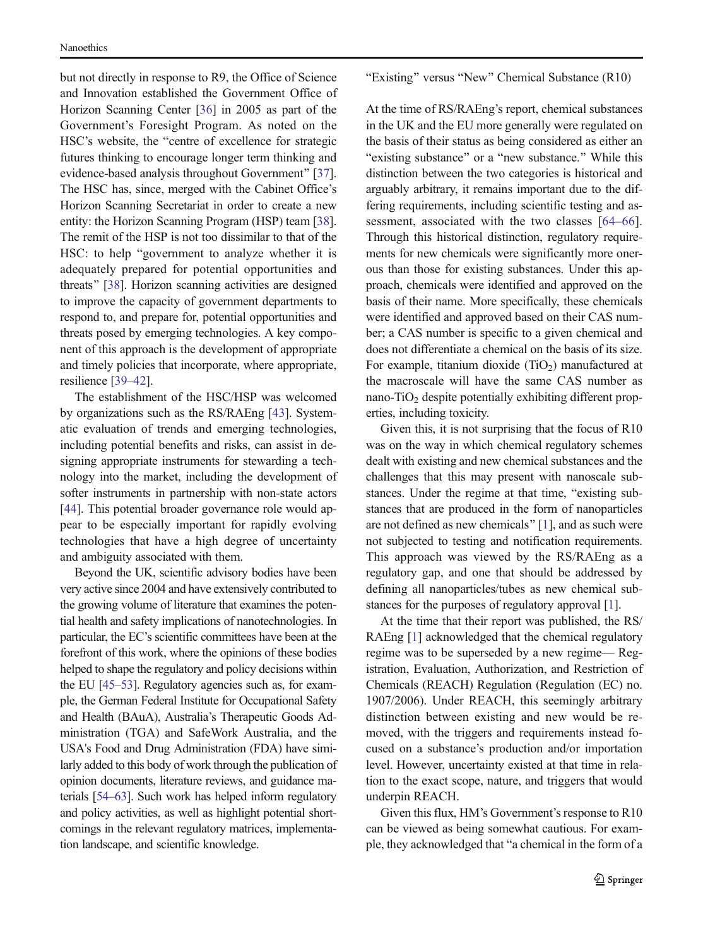but not directly in response to R9, the Office of Science and Innovation established the Government Office of Horizon Scanning Center [\[36](#page-14-0)] in 2005 as part of the Government's Foresight Program. As noted on the HSC's website, the "centre of excellence for strategic futures thinking to encourage longer term thinking and evidence-based analysis throughout Government^ [[37\]](#page-14-0). The HSC has, since, merged with the Cabinet Office's Horizon Scanning Secretariat in order to create a new entity: the Horizon Scanning Program (HSP) team [[38\]](#page-14-0). The remit of the HSP is not too dissimilar to that of the HSC: to help "government to analyze whether it is adequately prepared for potential opportunities and threats" [[38](#page-14-0)]. Horizon scanning activities are designed to improve the capacity of government departments to respond to, and prepare for, potential opportunities and threats posed by emerging technologies. A key component of this approach is the development of appropriate and timely policies that incorporate, where appropriate, resilience [\[39](#page-14-0)–[42\]](#page-14-0).

The establishment of the HSC/HSP was welcomed by organizations such as the RS/RAEng [\[43\]](#page-14-0). Systematic evaluation of trends and emerging technologies, including potential benefits and risks, can assist in designing appropriate instruments for stewarding a technology into the market, including the development of softer instruments in partnership with non-state actors [[44\]](#page-14-0). This potential broader governance role would appear to be especially important for rapidly evolving technologies that have a high degree of uncertainty and ambiguity associated with them.

Beyond the UK, scientific advisory bodies have been very active since 2004 and have extensively contributed to the growing volume of literature that examines the potential health and safety implications of nanotechnologies. In particular, the EC's scientific committees have been at the forefront of this work, where the opinions of these bodies helped to shape the regulatory and policy decisions within the EU [\[45](#page-14-0)–[53\]](#page-14-0). Regulatory agencies such as, for example, the German Federal Institute for Occupational Safety and Health (BAuA), Australia's Therapeutic Goods Administration (TGA) and SafeWork Australia, and the USA's Food and Drug Administration (FDA) have similarly added to this body of work through the publication of opinion documents, literature reviews, and guidance materials [\[54](#page-14-0)–[63\]](#page-15-0). Such work has helped inform regulatory and policy activities, as well as highlight potential shortcomings in the relevant regulatory matrices, implementation landscape, and scientific knowledge.

"Existing" versus "New" Chemical Substance  $(R10)$ 

At the time of RS/RAEng's report, chemical substances in the UK and the EU more generally were regulated on the basis of their status as being considered as either an "existing substance" or a "new substance." While this distinction between the two categories is historical and arguably arbitrary, it remains important due to the differing requirements, including scientific testing and assessment, associated with the two classes [[64](#page-15-0)–[66](#page-15-0)]. Through this historical distinction, regulatory requirements for new chemicals were significantly more onerous than those for existing substances. Under this approach, chemicals were identified and approved on the basis of their name. More specifically, these chemicals were identified and approved based on their CAS number; a CAS number is specific to a given chemical and does not differentiate a chemical on the basis of its size. For example, titanium dioxide  $(TiO<sub>2</sub>)$  manufactured at the macroscale will have the same CAS number as nano-TiO<sub>2</sub> despite potentially exhibiting different properties, including toxicity.

Given this, it is not surprising that the focus of R10 was on the way in which chemical regulatory schemes dealt with existing and new chemical substances and the challenges that this may present with nanoscale substances. Under the regime at that time, "existing substances that are produced in the form of nanoparticles are not defined as new chemicals"  $[1]$  $[1]$ , and as such were not subjected to testing and notification requirements. This approach was viewed by the RS/RAEng as a regulatory gap, and one that should be addressed by defining all nanoparticles/tubes as new chemical substances for the purposes of regulatory approval [\[1](#page-13-0)].

At the time that their report was published, the RS/ RAEng [\[1](#page-13-0)] acknowledged that the chemical regulatory regime was to be superseded by a new regime— Registration, Evaluation, Authorization, and Restriction of Chemicals (REACH) Regulation (Regulation (EC) no. 1907/2006). Under REACH, this seemingly arbitrary distinction between existing and new would be removed, with the triggers and requirements instead focused on a substance's production and/or importation level. However, uncertainty existed at that time in relation to the exact scope, nature, and triggers that would underpin REACH.

Given this flux, HM's Government's response to R10 can be viewed as being somewhat cautious. For example, they acknowledged that "a chemical in the form of a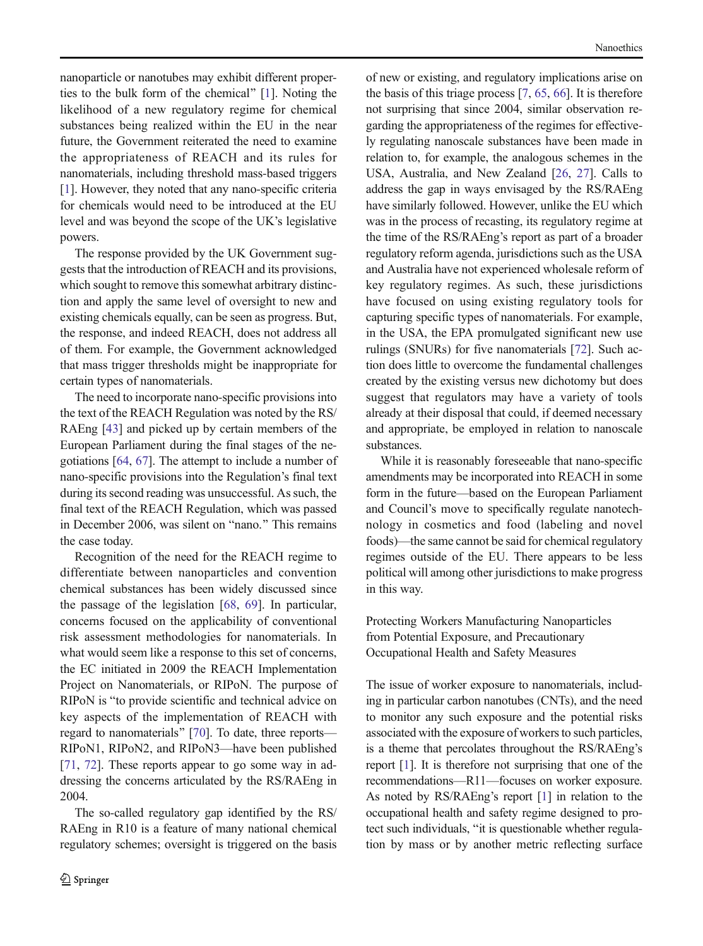nanoparticle or nanotubes may exhibit different properties to the bulk form of the chemical^ [\[1\]](#page-13-0). Noting the likelihood of a new regulatory regime for chemical substances being realized within the EU in the near future, the Government reiterated the need to examine the appropriateness of REACH and its rules for nanomaterials, including threshold mass-based triggers [[1\]](#page-13-0). However, they noted that any nano-specific criteria for chemicals would need to be introduced at the EU level and was beyond the scope of the UK's legislative powers.

The response provided by the UK Government suggests that the introduction of REACH and its provisions, which sought to remove this somewhat arbitrary distinction and apply the same level of oversight to new and existing chemicals equally, can be seen as progress. But, the response, and indeed REACH, does not address all of them. For example, the Government acknowledged that mass trigger thresholds might be inappropriate for certain types of nanomaterials.

The need to incorporate nano-specific provisions into the text of the REACH Regulation was noted by the RS/ RAEng [\[43](#page-14-0)] and picked up by certain members of the European Parliament during the final stages of the negotiations [[64](#page-15-0), [67](#page-15-0)]. The attempt to include a number of nano-specific provisions into the Regulation's final text during its second reading was unsuccessful. As such, the final text of the REACH Regulation, which was passed in December 2006, was silent on "nano." This remains the case today.

Recognition of the need for the REACH regime to differentiate between nanoparticles and convention chemical substances has been widely discussed since the passage of the legislation [\[68](#page-15-0), [69\]](#page-15-0). In particular, concerns focused on the applicability of conventional risk assessment methodologies for nanomaterials. In what would seem like a response to this set of concerns, the EC initiated in 2009 the REACH Implementation Project on Nanomaterials, or RIPoN. The purpose of RIPoN is "to provide scientific and technical advice on key aspects of the implementation of REACH with regard to nanomaterials" [\[70\]](#page-15-0). To date, three reports— RIPoN1, RIPoN2, and RIPoN3—have been published [[71,](#page-15-0) [72](#page-15-0)]. These reports appear to go some way in addressing the concerns articulated by the RS/RAEng in 2004.

The so-called regulatory gap identified by the RS/ RAEng in R10 is a feature of many national chemical regulatory schemes; oversight is triggered on the basis of new or existing, and regulatory implications arise on the basis of this triage process [\[7](#page-13-0), [65,](#page-15-0) [66\]](#page-15-0). It is therefore not surprising that since 2004, similar observation regarding the appropriateness of the regimes for effectively regulating nanoscale substances have been made in relation to, for example, the analogous schemes in the USA, Australia, and New Zealand [[26](#page-14-0), [27\]](#page-14-0). Calls to address the gap in ways envisaged by the RS/RAEng have similarly followed. However, unlike the EU which was in the process of recasting, its regulatory regime at the time of the RS/RAEng's report as part of a broader regulatory reform agenda, jurisdictions such as the USA and Australia have not experienced wholesale reform of key regulatory regimes. As such, these jurisdictions have focused on using existing regulatory tools for capturing specific types of nanomaterials. For example, in the USA, the EPA promulgated significant new use rulings (SNURs) for five nanomaterials [\[72](#page-15-0)]. Such action does little to overcome the fundamental challenges created by the existing versus new dichotomy but does suggest that regulators may have a variety of tools already at their disposal that could, if deemed necessary and appropriate, be employed in relation to nanoscale substances.

While it is reasonably foreseeable that nano-specific amendments may be incorporated into REACH in some form in the future—based on the European Parliament and Council's move to specifically regulate nanotechnology in cosmetics and food (labeling and novel foods)—the same cannot be said for chemical regulatory regimes outside of the EU. There appears to be less political will among other jurisdictions to make progress in this way.

Protecting Workers Manufacturing Nanoparticles from Potential Exposure, and Precautionary Occupational Health and Safety Measures

The issue of worker exposure to nanomaterials, including in particular carbon nanotubes (CNTs), and the need to monitor any such exposure and the potential risks associated with the exposure of workers to such particles, is a theme that percolates throughout the RS/RAEng's report [\[1\]](#page-13-0). It is therefore not surprising that one of the recommendations—R11—focuses on worker exposure. As noted by RS/RAEng's report [\[1](#page-13-0)] in relation to the occupational health and safety regime designed to protect such individuals, "it is questionable whether regulation by mass or by another metric reflecting surface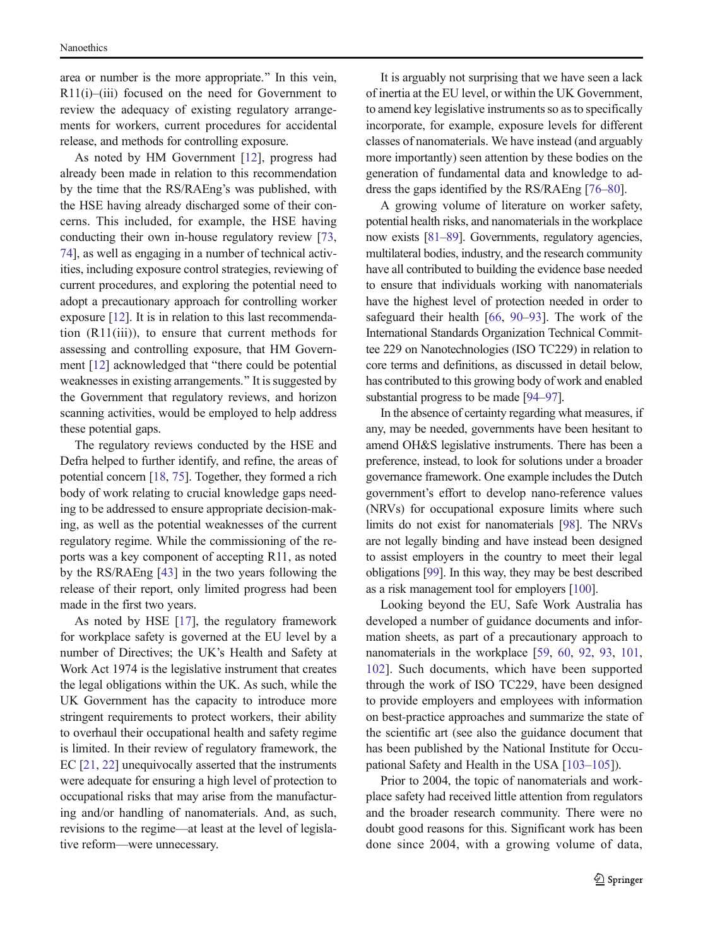area or number is the more appropriate.^ In this vein, R11(i)–(iii) focused on the need for Government to review the adequacy of existing regulatory arrangements for workers, current procedures for accidental release, and methods for controlling exposure.

As noted by HM Government [[12](#page-13-0)], progress had already been made in relation to this recommendation by the time that the RS/RAEng's was published, with the HSE having already discharged some of their concerns. This included, for example, the HSE having conducting their own in-house regulatory review [\[73,](#page-15-0) [74\]](#page-15-0), as well as engaging in a number of technical activities, including exposure control strategies, reviewing of current procedures, and exploring the potential need to adopt a precautionary approach for controlling worker exposure [[12](#page-13-0)]. It is in relation to this last recommendation (R11(iii)), to ensure that current methods for assessing and controlling exposure, that HM Govern-ment [\[12](#page-13-0)] acknowledged that "there could be potential weaknesses in existing arrangements." It is suggested by the Government that regulatory reviews, and horizon scanning activities, would be employed to help address these potential gaps.

The regulatory reviews conducted by the HSE and Defra helped to further identify, and refine, the areas of potential concern [\[18](#page-13-0), [75\]](#page-15-0). Together, they formed a rich body of work relating to crucial knowledge gaps needing to be addressed to ensure appropriate decision-making, as well as the potential weaknesses of the current regulatory regime. While the commissioning of the reports was a key component of accepting R11, as noted by the RS/RAEng [\[43](#page-14-0)] in the two years following the release of their report, only limited progress had been made in the first two years.

As noted by HSE [\[17](#page-13-0)], the regulatory framework for workplace safety is governed at the EU level by a number of Directives; the UK's Health and Safety at Work Act 1974 is the legislative instrument that creates the legal obligations within the UK. As such, while the UK Government has the capacity to introduce more stringent requirements to protect workers, their ability to overhaul their occupational health and safety regime is limited. In their review of regulatory framework, the EC [\[21,](#page-13-0) [22](#page-14-0)] unequivocally asserted that the instruments were adequate for ensuring a high level of protection to occupational risks that may arise from the manufacturing and/or handling of nanomaterials. And, as such, revisions to the regime—at least at the level of legislative reform—were unnecessary.

It is arguably not surprising that we have seen a lack of inertia at the EU level, or within the UK Government, to amend key legislative instruments so as to specifically incorporate, for example, exposure levels for different classes of nanomaterials. We have instead (and arguably more importantly) seen attention by these bodies on the generation of fundamental data and knowledge to address the gaps identified by the RS/RAEng [\[76](#page-15-0)–[80\]](#page-15-0).

A growing volume of literature on worker safety, potential health risks, and nanomaterials in the workplace now exists [\[81](#page-15-0)–[89](#page-15-0)]. Governments, regulatory agencies, multilateral bodies, industry, and the research community have all contributed to building the evidence base needed to ensure that individuals working with nanomaterials have the highest level of protection needed in order to safeguard their health [[66](#page-15-0), [90](#page-15-0)–[93\]](#page-16-0). The work of the International Standards Organization Technical Committee 229 on Nanotechnologies (ISO TC229) in relation to core terms and definitions, as discussed in detail below, has contributed to this growing body of work and enabled substantial progress to be made [\[94](#page-16-0)–[97](#page-16-0)].

In the absence of certainty regarding what measures, if any, may be needed, governments have been hesitant to amend OH&S legislative instruments. There has been a preference, instead, to look for solutions under a broader governance framework. One example includes the Dutch government's effort to develop nano-reference values (NRVs) for occupational exposure limits where such limits do not exist for nanomaterials [\[98](#page-16-0)]. The NRVs are not legally binding and have instead been designed to assist employers in the country to meet their legal obligations [\[99\]](#page-16-0). In this way, they may be best described as a risk management tool for employers [\[100](#page-16-0)].

Looking beyond the EU, Safe Work Australia has developed a number of guidance documents and information sheets, as part of a precautionary approach to nanomaterials in the workplace [\[59,](#page-15-0) [60](#page-15-0), [92](#page-16-0), [93,](#page-16-0) [101,](#page-16-0) [102](#page-16-0)]. Such documents, which have been supported through the work of ISO TC229, have been designed to provide employers and employees with information on best-practice approaches and summarize the state of the scientific art (see also the guidance document that has been published by the National Institute for Occupational Safety and Health in the USA [\[103](#page-16-0)–[105](#page-16-0)]).

Prior to 2004, the topic of nanomaterials and workplace safety had received little attention from regulators and the broader research community. There were no doubt good reasons for this. Significant work has been done since 2004, with a growing volume of data,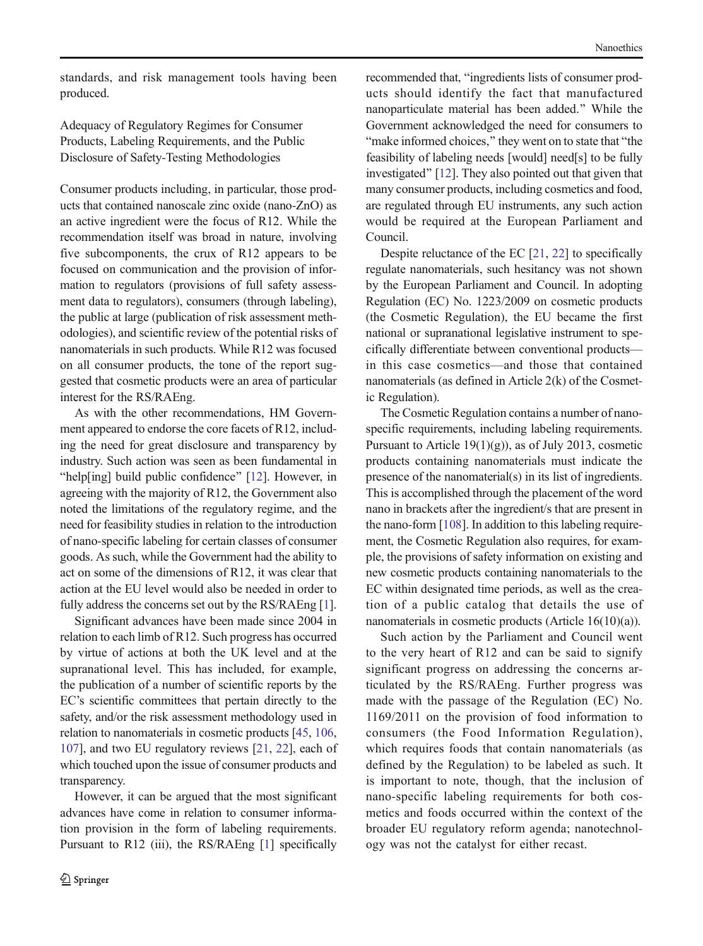standards, and risk management tools having been produced.

Adequacy of Regulatory Regimes for Consumer Products, Labeling Requirements, and the Public Disclosure of Safety-Testing Methodologies

Consumer products including, in particular, those products that contained nanoscale zinc oxide (nano-ZnO) as an active ingredient were the focus of R12. While the recommendation itself was broad in nature, involving five subcomponents, the crux of R12 appears to be focused on communication and the provision of information to regulators (provisions of full safety assessment data to regulators), consumers (through labeling), the public at large (publication of risk assessment methodologies), and scientific review of the potential risks of nanomaterials in such products. While R12 was focused on all consumer products, the tone of the report suggested that cosmetic products were an area of particular interest for the RS/RAEng.

As with the other recommendations, HM Government appeared to endorse the core facets of R12, including the need for great disclosure and transparency by industry. Such action was seen as been fundamental in "help[ing] build public confidence" [[12\]](#page-13-0). However, in agreeing with the majority of R12, the Government also noted the limitations of the regulatory regime, and the need for feasibility studies in relation to the introduction of nano-specific labeling for certain classes of consumer goods. As such, while the Government had the ability to act on some of the dimensions of R12, it was clear that action at the EU level would also be needed in order to fully address the concerns set out by the RS/RAEng [[1\]](#page-13-0).

Significant advances have been made since 2004 in relation to each limb of R12. Such progress has occurred by virtue of actions at both the UK level and at the supranational level. This has included, for example, the publication of a number of scientific reports by the EC's scientific committees that pertain directly to the safety, and/or the risk assessment methodology used in relation to nanomaterials in cosmetic products [\[45](#page-14-0), [106,](#page-16-0) [107](#page-16-0)], and two EU regulatory reviews [[21](#page-13-0), [22\]](#page-14-0), each of which touched upon the issue of consumer products and transparency.

However, it can be argued that the most significant advances have come in relation to consumer information provision in the form of labeling requirements. Pursuant to R[1](#page-13-0)2 (iii), the RS/RAEng [1] specifically recommended that, "ingredients lists of consumer products should identify the fact that manufactured nanoparticulate material has been added.^ While the Government acknowledged the need for consumers to "make informed choices," they went on to state that "the feasibility of labeling needs [would] need[s] to be fully investigated" [[12\]](#page-13-0). They also pointed out that given that many consumer products, including cosmetics and food, are regulated through EU instruments, any such action would be required at the European Parliament and Council.

Despite reluctance of the EC [[21,](#page-13-0) [22\]](#page-14-0) to specifically regulate nanomaterials, such hesitancy was not shown by the European Parliament and Council. In adopting Regulation (EC) No. 1223/2009 on cosmetic products (the Cosmetic Regulation), the EU became the first national or supranational legislative instrument to specifically differentiate between conventional products in this case cosmetics—and those that contained nanomaterials (as defined in Article 2(k) of the Cosmetic Regulation).

The Cosmetic Regulation contains a number of nanospecific requirements, including labeling requirements. Pursuant to Article 19(1)(g)), as of July 2013, cosmetic products containing nanomaterials must indicate the presence of the nanomaterial(s) in its list of ingredients. This is accomplished through the placement of the word nano in brackets after the ingredient/s that are present in the nano-form [[108\]](#page-16-0). In addition to this labeling requirement, the Cosmetic Regulation also requires, for example, the provisions of safety information on existing and new cosmetic products containing nanomaterials to the EC within designated time periods, as well as the creation of a public catalog that details the use of nanomaterials in cosmetic products (Article 16(10)(a)).

Such action by the Parliament and Council went to the very heart of R12 and can be said to signify significant progress on addressing the concerns articulated by the RS/RAEng. Further progress was made with the passage of the Regulation (EC) No. 1169/2011 on the provision of food information to consumers (the Food Information Regulation), which requires foods that contain nanomaterials (as defined by the Regulation) to be labeled as such. It is important to note, though, that the inclusion of nano-specific labeling requirements for both cosmetics and foods occurred within the context of the broader EU regulatory reform agenda; nanotechnology was not the catalyst for either recast.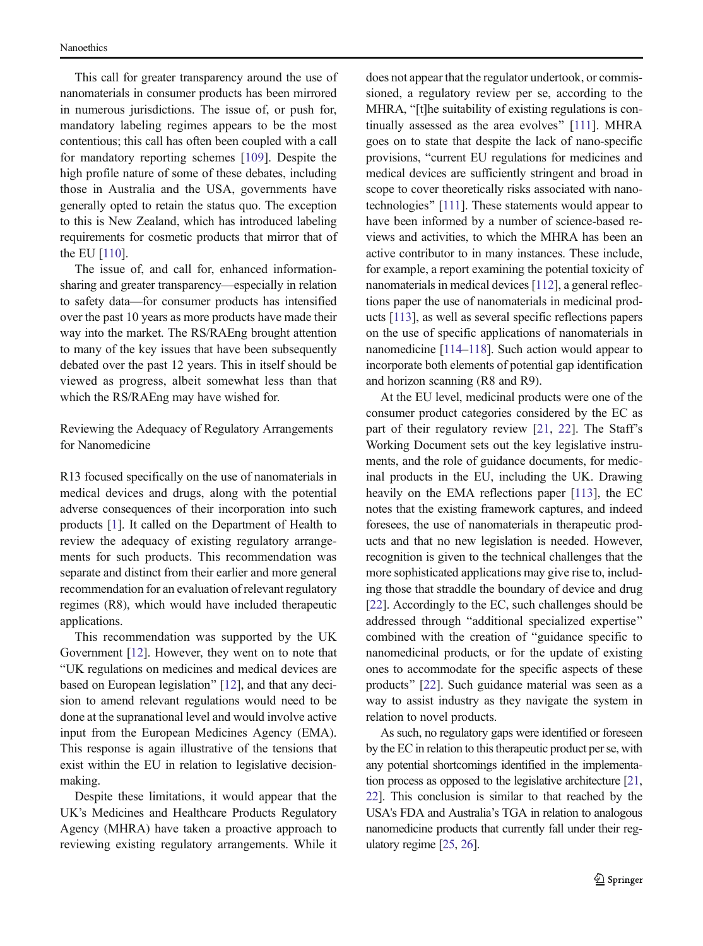This call for greater transparency around the use of nanomaterials in consumer products has been mirrored in numerous jurisdictions. The issue of, or push for, mandatory labeling regimes appears to be the most contentious; this call has often been coupled with a call for mandatory reporting schemes [[109\]](#page-16-0). Despite the high profile nature of some of these debates, including those in Australia and the USA, governments have generally opted to retain the status quo. The exception to this is New Zealand, which has introduced labeling requirements for cosmetic products that mirror that of the EU [\[110](#page-16-0)].

The issue of, and call for, enhanced informationsharing and greater transparency—especially in relation to safety data—for consumer products has intensified over the past 10 years as more products have made their way into the market. The RS/RAEng brought attention to many of the key issues that have been subsequently debated over the past 12 years. This in itself should be viewed as progress, albeit somewhat less than that which the RS/RAEng may have wished for.

Reviewing the Adequacy of Regulatory Arrangements for Nanomedicine

R13 focused specifically on the use of nanomaterials in medical devices and drugs, along with the potential adverse consequences of their incorporation into such products [[1\]](#page-13-0). It called on the Department of Health to review the adequacy of existing regulatory arrangements for such products. This recommendation was separate and distinct from their earlier and more general recommendation for an evaluation of relevant regulatory regimes (R8), which would have included therapeutic applications.

This recommendation was supported by the UK Government [[12\]](#page-13-0). However, they went on to note that "UK regulations on medicines and medical devices are based on European legislation" [[12](#page-13-0)], and that any decision to amend relevant regulations would need to be done at the supranational level and would involve active input from the European Medicines Agency (EMA). This response is again illustrative of the tensions that exist within the EU in relation to legislative decisionmaking.

Despite these limitations, it would appear that the UK's Medicines and Healthcare Products Regulatory Agency (MHRA) have taken a proactive approach to reviewing existing regulatory arrangements. While it does not appear that the regulator undertook, or commissioned, a regulatory review per se, according to the MHRA, "[t]he suitability of existing regulations is con-tinually assessed as the area evolves" [[111\]](#page-16-0). MHRA goes on to state that despite the lack of nano-specific provisions, "current EU regulations for medicines and medical devices are sufficiently stringent and broad in scope to cover theoretically risks associated with nanotechnologies^ [[111\]](#page-16-0). These statements would appear to have been informed by a number of science-based reviews and activities, to which the MHRA has been an active contributor to in many instances. These include, for example, a report examining the potential toxicity of nanomaterials in medical devices [\[112](#page-16-0)], a general reflections paper the use of nanomaterials in medicinal products [\[113\]](#page-16-0), as well as several specific reflections papers on the use of specific applications of nanomaterials in nanomedicine [\[114](#page-16-0)–[118](#page-16-0)]. Such action would appear to incorporate both elements of potential gap identification and horizon scanning (R8 and R9).

At the EU level, medicinal products were one of the consumer product categories considered by the EC as part of their regulatory review [\[21](#page-13-0), [22\]](#page-14-0). The Staff's Working Document sets out the key legislative instruments, and the role of guidance documents, for medicinal products in the EU, including the UK. Drawing heavily on the EMA reflections paper [\[113\]](#page-16-0), the EC notes that the existing framework captures, and indeed foresees, the use of nanomaterials in therapeutic products and that no new legislation is needed. However, recognition is given to the technical challenges that the more sophisticated applications may give rise to, including those that straddle the boundary of device and drug [\[22\]](#page-14-0). Accordingly to the EC, such challenges should be addressed through "additional specialized expertise" combined with the creation of "guidance specific to nanomedicinal products, or for the update of existing ones to accommodate for the specific aspects of these products^ [[22\]](#page-14-0). Such guidance material was seen as a way to assist industry as they navigate the system in relation to novel products.

As such, no regulatory gaps were identified or foreseen by the EC in relation to this therapeutic product per se, with any potential shortcomings identified in the implementation process as opposed to the legislative architecture [\[21,](#page-13-0) [22](#page-14-0)]. This conclusion is similar to that reached by the USA's FDA and Australia's TGA in relation to analogous nanomedicine products that currently fall under their regulatory regime [[25](#page-14-0), [26](#page-14-0)].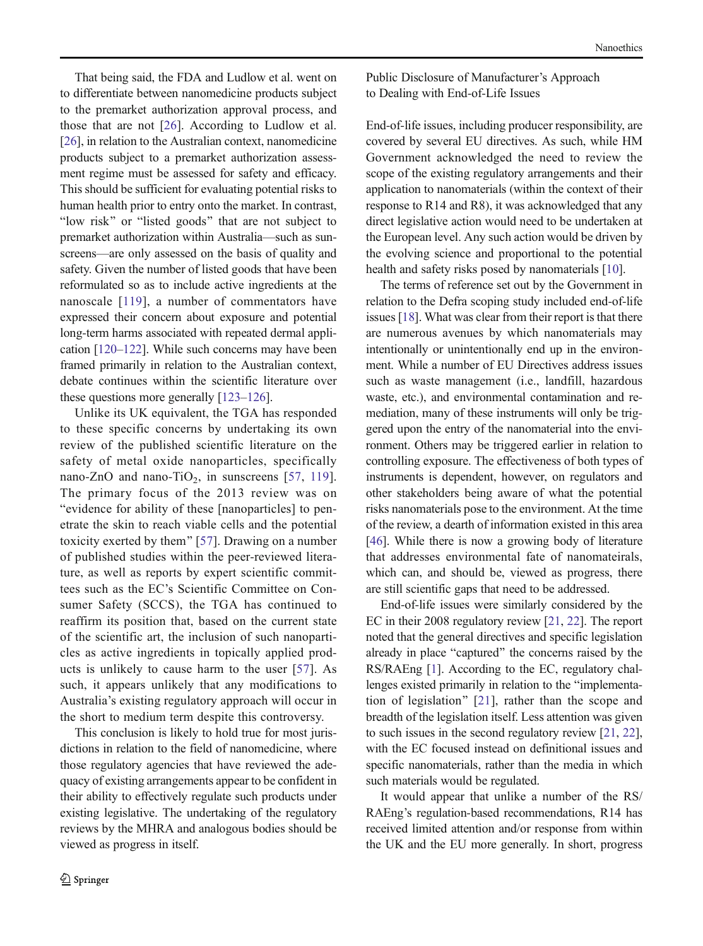That being said, the FDA and Ludlow et al. went on to differentiate between nanomedicine products subject to the premarket authorization approval process, and those that are not [[26\]](#page-14-0). According to Ludlow et al. [[26\]](#page-14-0), in relation to the Australian context, nanomedicine products subject to a premarket authorization assessment regime must be assessed for safety and efficacy. This should be sufficient for evaluating potential risks to human health prior to entry onto the market. In contrast, "low risk" or "listed goods" that are not subject to premarket authorization within Australia—such as sunscreens—are only assessed on the basis of quality and safety. Given the number of listed goods that have been reformulated so as to include active ingredients at the nanoscale [[119\]](#page-16-0), a number of commentators have expressed their concern about exposure and potential long-term harms associated with repeated dermal application [\[120](#page-16-0)–[122](#page-16-0)]. While such concerns may have been framed primarily in relation to the Australian context, debate continues within the scientific literature over these questions more generally [[123](#page-16-0)–[126\]](#page-16-0).

Unlike its UK equivalent, the TGA has responded to these specific concerns by undertaking its own review of the published scientific literature on the safety of metal oxide nanoparticles, specifically nano-ZnO and nano-TiO<sub>2</sub>, in sunscreens [\[57,](#page-15-0) [119](#page-16-0)]. The primary focus of the 2013 review was on "evidence for ability of these [nanoparticles] to penetrate the skin to reach viable cells and the potential toxicity exerted by them^ [[57\]](#page-15-0). Drawing on a number of published studies within the peer-reviewed literature, as well as reports by expert scientific committees such as the EC's Scientific Committee on Consumer Safety (SCCS), the TGA has continued to reaffirm its position that, based on the current state of the scientific art, the inclusion of such nanoparticles as active ingredients in topically applied products is unlikely to cause harm to the user [[57](#page-15-0)]. As such, it appears unlikely that any modifications to Australia's existing regulatory approach will occur in the short to medium term despite this controversy.

This conclusion is likely to hold true for most jurisdictions in relation to the field of nanomedicine, where those regulatory agencies that have reviewed the adequacy of existing arrangements appear to be confident in their ability to effectively regulate such products under existing legislative. The undertaking of the regulatory reviews by the MHRA and analogous bodies should be viewed as progress in itself.

Public Disclosure of Manufacturer's Approach to Dealing with End-of-Life Issues

End-of-life issues, including producer responsibility, are covered by several EU directives. As such, while HM Government acknowledged the need to review the scope of the existing regulatory arrangements and their application to nanomaterials (within the context of their response to R14 and R8), it was acknowledged that any direct legislative action would need to be undertaken at the European level. Any such action would be driven by the evolving science and proportional to the potential health and safety risks posed by nanomaterials [[10\]](#page-13-0).

The terms of reference set out by the Government in relation to the Defra scoping study included end-of-life issues [\[18\]](#page-13-0). What was clear from their report is that there are numerous avenues by which nanomaterials may intentionally or unintentionally end up in the environment. While a number of EU Directives address issues such as waste management (i.e., landfill, hazardous waste, etc.), and environmental contamination and remediation, many of these instruments will only be triggered upon the entry of the nanomaterial into the environment. Others may be triggered earlier in relation to controlling exposure. The effectiveness of both types of instruments is dependent, however, on regulators and other stakeholders being aware of what the potential risks nanomaterials pose to the environment. At the time of the review, a dearth of information existed in this area [\[46\]](#page-14-0). While there is now a growing body of literature that addresses environmental fate of nanomateirals, which can, and should be, viewed as progress, there are still scientific gaps that need to be addressed.

End-of-life issues were similarly considered by the EC in their 2008 regulatory review [[21,](#page-13-0) [22](#page-14-0)]. The report noted that the general directives and specific legislation already in place "captured" the concerns raised by the RS/RAEng [\[1](#page-13-0)]. According to the EC, regulatory challenges existed primarily in relation to the "implementa-tion of legislation" [\[21](#page-13-0)], rather than the scope and breadth of the legislation itself. Less attention was given to such issues in the second regulatory review [\[21,](#page-13-0) [22\]](#page-14-0), with the EC focused instead on definitional issues and specific nanomaterials, rather than the media in which such materials would be regulated.

It would appear that unlike a number of the RS/ RAEng's regulation-based recommendations, R14 has received limited attention and/or response from within the UK and the EU more generally. In short, progress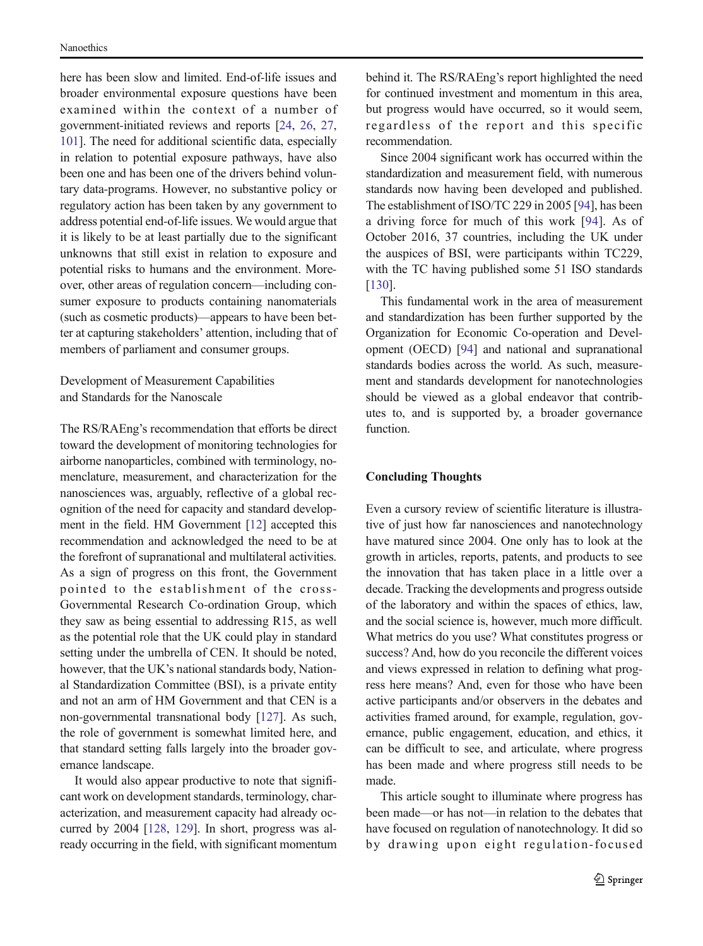here has been slow and limited. End-of-life issues and broader environmental exposure questions have been examined within the context of a number of government-initiated reviews and reports [\[24](#page-14-0), [26](#page-14-0), [27,](#page-14-0) [101](#page-16-0)]. The need for additional scientific data, especially in relation to potential exposure pathways, have also been one and has been one of the drivers behind voluntary data-programs. However, no substantive policy or regulatory action has been taken by any government to address potential end-of-life issues. We would argue that it is likely to be at least partially due to the significant unknowns that still exist in relation to exposure and potential risks to humans and the environment. Moreover, other areas of regulation concern—including consumer exposure to products containing nanomaterials (such as cosmetic products)—appears to have been better at capturing stakeholders' attention, including that of members of parliament and consumer groups.

Development of Measurement Capabilities and Standards for the Nanoscale

The RS/RAEng's recommendation that efforts be direct toward the development of monitoring technologies for airborne nanoparticles, combined with terminology, nomenclature, measurement, and characterization for the nanosciences was, arguably, reflective of a global recognition of the need for capacity and standard development in the field. HM Government [\[12](#page-13-0)] accepted this recommendation and acknowledged the need to be at the forefront of supranational and multilateral activities. As a sign of progress on this front, the Government pointed to the establishment of the cross-Governmental Research Co-ordination Group, which they saw as being essential to addressing R15, as well as the potential role that the UK could play in standard setting under the umbrella of CEN. It should be noted, however, that the UK's national standards body, National Standardization Committee (BSI), is a private entity and not an arm of HM Government and that CEN is a non-governmental transnational body [[127](#page-17-0)]. As such, the role of government is somewhat limited here, and that standard setting falls largely into the broader governance landscape.

It would also appear productive to note that significant work on development standards, terminology, characterization, and measurement capacity had already occurred by 2004 [\[128,](#page-17-0) [129](#page-17-0)]. In short, progress was already occurring in the field, with significant momentum behind it. The RS/RAEng's report highlighted the need for continued investment and momentum in this area, but progress would have occurred, so it would seem, regardless of the report and this specific recommendation.

Since 2004 significant work has occurred within the standardization and measurement field, with numerous standards now having been developed and published. The establishment of ISO/TC 229 in 2005 [[94\]](#page-16-0), has been a driving force for much of this work [[94](#page-16-0)]. As of October 2016, 37 countries, including the UK under the auspices of BSI, were participants within TC229, with the TC having published some 51 ISO standards [\[130\]](#page-17-0).

This fundamental work in the area of measurement and standardization has been further supported by the Organization for Economic Co-operation and Development (OECD) [[94\]](#page-16-0) and national and supranational standards bodies across the world. As such, measurement and standards development for nanotechnologies should be viewed as a global endeavor that contributes to, and is supported by, a broader governance function.

## Concluding Thoughts

Even a cursory review of scientific literature is illustrative of just how far nanosciences and nanotechnology have matured since 2004. One only has to look at the growth in articles, reports, patents, and products to see the innovation that has taken place in a little over a decade. Tracking the developments and progress outside of the laboratory and within the spaces of ethics, law, and the social science is, however, much more difficult. What metrics do you use? What constitutes progress or success? And, how do you reconcile the different voices and views expressed in relation to defining what progress here means? And, even for those who have been active participants and/or observers in the debates and activities framed around, for example, regulation, governance, public engagement, education, and ethics, it can be difficult to see, and articulate, where progress has been made and where progress still needs to be made.

This article sought to illuminate where progress has been made—or has not—in relation to the debates that have focused on regulation of nanotechnology. It did so by drawing upon eight regulation-focused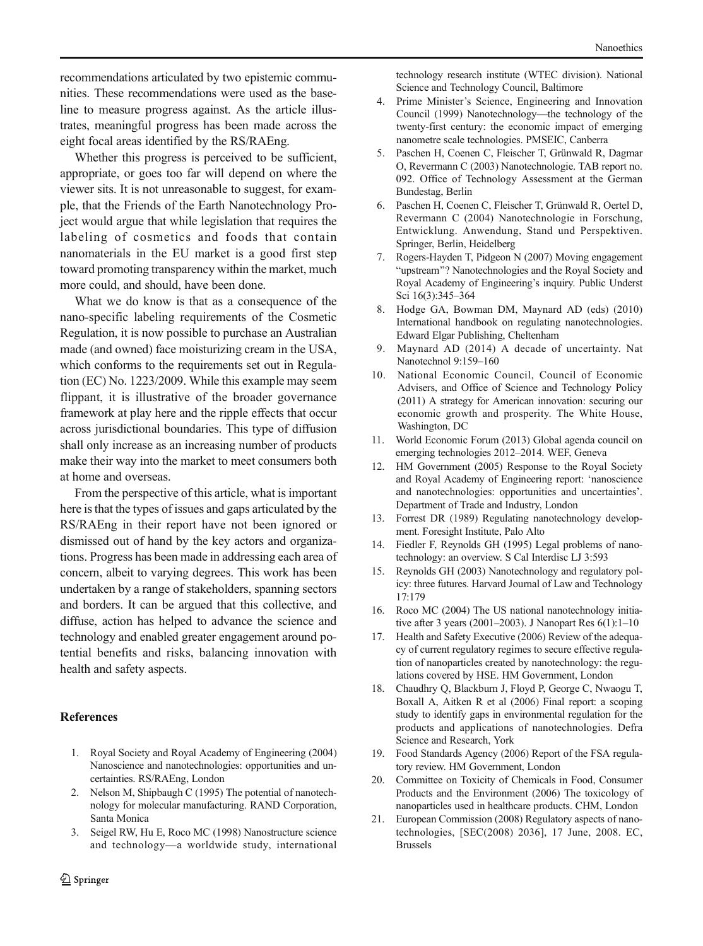<span id="page-13-0"></span>recommendations articulated by two epistemic communities. These recommendations were used as the baseline to measure progress against. As the article illustrates, meaningful progress has been made across the eight focal areas identified by the RS/RAEng.

Whether this progress is perceived to be sufficient, appropriate, or goes too far will depend on where the viewer sits. It is not unreasonable to suggest, for example, that the Friends of the Earth Nanotechnology Project would argue that while legislation that requires the labeling of cosmetics and foods that contain nanomaterials in the EU market is a good first step toward promoting transparency within the market, much more could, and should, have been done.

What we do know is that as a consequence of the nano-specific labeling requirements of the Cosmetic Regulation, it is now possible to purchase an Australian made (and owned) face moisturizing cream in the USA, which conforms to the requirements set out in Regulation (EC) No. 1223/2009. While this example may seem flippant, it is illustrative of the broader governance framework at play here and the ripple effects that occur across jurisdictional boundaries. This type of diffusion shall only increase as an increasing number of products make their way into the market to meet consumers both at home and overseas.

From the perspective of this article, what is important here is that the types of issues and gaps articulated by the RS/RAEng in their report have not been ignored or dismissed out of hand by the key actors and organizations. Progress has been made in addressing each area of concern, albeit to varying degrees. This work has been undertaken by a range of stakeholders, spanning sectors and borders. It can be argued that this collective, and diffuse, action has helped to advance the science and technology and enabled greater engagement around potential benefits and risks, balancing innovation with health and safety aspects.

#### References

- 1. Royal Society and Royal Academy of Engineering (2004) Nanoscience and nanotechnologies: opportunities and uncertainties. RS/RAEng, London
- 2. Nelson M, Shipbaugh C (1995) The potential of nanotechnology for molecular manufacturing. RAND Corporation, Santa Monica
- 3. Seigel RW, Hu E, Roco MC (1998) Nanostructure science and technology—a worldwide study, international

technology research institute (WTEC division). National Science and Technology Council, Baltimore

- 4. Prime Minister's Science, Engineering and Innovation Council (1999) Nanotechnology—the technology of the twenty-first century: the economic impact of emerging nanometre scale technologies. PMSEIC, Canberra
- 5. Paschen H, Coenen C, Fleischer T, Grünwald R, Dagmar O, Revermann C (2003) Nanotechnologie. TAB report no. 092. Office of Technology Assessment at the German Bundestag, Berlin
- 6. Paschen H, Coenen C, Fleischer T, Grünwald R, Oertel D, Revermann C (2004) Nanotechnologie in Forschung, Entwicklung. Anwendung, Stand und Perspektiven. Springer, Berlin, Heidelberg
- 7. Rogers-Hayden T, Pidgeon N (2007) Moving engagement "upstream"? Nanotechnologies and the Royal Society and Royal Academy of Engineering's inquiry. Public Underst Sci 16(3):345–364
- 8. Hodge GA, Bowman DM, Maynard AD (eds) (2010) International handbook on regulating nanotechnologies. Edward Elgar Publishing, Cheltenham
- 9. Maynard AD (2014) A decade of uncertainty. Nat Nanotechnol 9:159–160
- 10. National Economic Council, Council of Economic Advisers, and Office of Science and Technology Policy (2011) A strategy for American innovation: securing our economic growth and prosperity. The White House, Washington, DC
- 11. World Economic Forum (2013) Global agenda council on emerging technologies 2012–2014. WEF, Geneva
- 12. HM Government (2005) Response to the Royal Society and Royal Academy of Engineering report: 'nanoscience and nanotechnologies: opportunities and uncertainties'. Department of Trade and Industry, London
- 13. Forrest DR (1989) Regulating nanotechnology development. Foresight Institute, Palo Alto
- 14. Fiedler F, Reynolds GH (1995) Legal problems of nanotechnology: an overview. S Cal Interdisc LJ 3:593
- 15. Reynolds GH (2003) Nanotechnology and regulatory policy: three futures. Harvard Journal of Law and Technology 17:179
- 16. Roco MC (2004) The US national nanotechnology initiative after 3 years (2001–2003). J Nanopart Res 6(1):1–10
- 17. Health and Safety Executive (2006) Review of the adequacy of current regulatory regimes to secure effective regulation of nanoparticles created by nanotechnology: the regulations covered by HSE. HM Government, London
- 18. Chaudhry Q, Blackburn J, Floyd P, George C, Nwaogu T, Boxall A, Aitken R et al (2006) Final report: a scoping study to identify gaps in environmental regulation for the products and applications of nanotechnologies. Defra Science and Research, York
- 19. Food Standards Agency (2006) Report of the FSA regulatory review. HM Government, London
- 20. Committee on Toxicity of Chemicals in Food, Consumer Products and the Environment (2006) The toxicology of nanoparticles used in healthcare products. CHM, London
- 21. European Commission (2008) Regulatory aspects of nanotechnologies, [SEC(2008) 2036], 17 June, 2008. EC, Brussels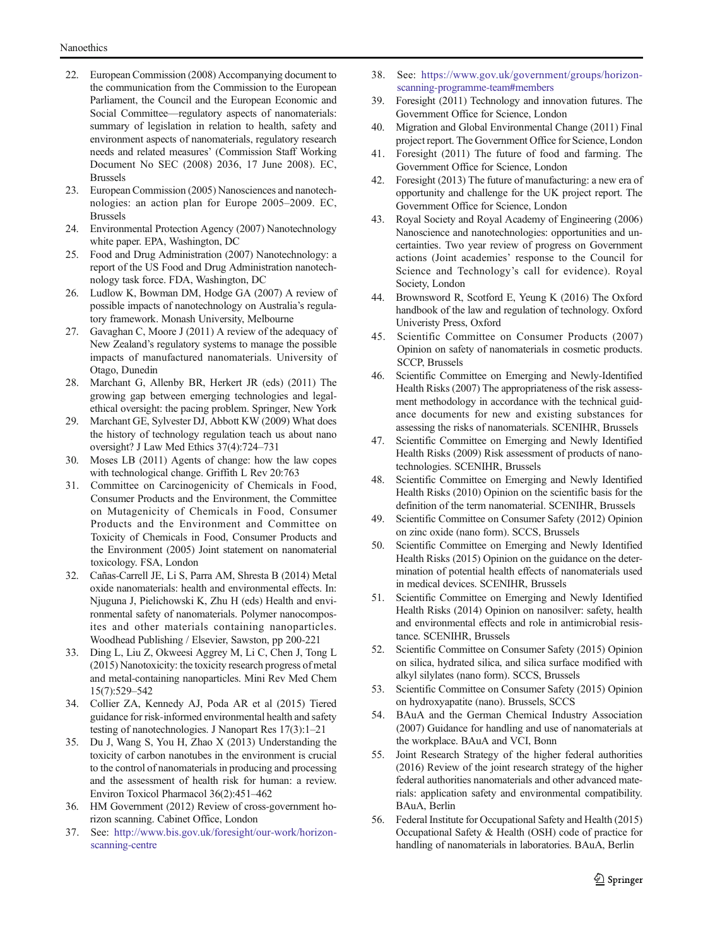- <span id="page-14-0"></span>22. European Commission (2008) Accompanying document to the communication from the Commission to the European Parliament, the Council and the European Economic and Social Committee—regulatory aspects of nanomaterials: summary of legislation in relation to health, safety and environment aspects of nanomaterials, regulatory research needs and related measures' (Commission Staff Working Document No SEC (2008) 2036, 17 June 2008). EC, Brussels
- 23. European Commission (2005) Nanosciences and nanotechnologies: an action plan for Europe 2005–2009. EC, Brussels
- 24. Environmental Protection Agency (2007) Nanotechnology white paper. EPA, Washington, DC
- 25. Food and Drug Administration (2007) Nanotechnology: a report of the US Food and Drug Administration nanotechnology task force. FDA, Washington, DC
- 26. Ludlow K, Bowman DM, Hodge GA (2007) A review of possible impacts of nanotechnology on Australia's regulatory framework. Monash University, Melbourne
- 27. Gavaghan C, Moore J (2011) A review of the adequacy of New Zealand's regulatory systems to manage the possible impacts of manufactured nanomaterials. University of Otago, Dunedin
- 28. Marchant G, Allenby BR, Herkert JR (eds) (2011) The growing gap between emerging technologies and legalethical oversight: the pacing problem. Springer, New York
- 29. Marchant GE, Sylvester DJ, Abbott KW (2009) What does the history of technology regulation teach us about nano oversight? J Law Med Ethics 37(4):724–731
- 30. Moses LB (2011) Agents of change: how the law copes with technological change. Griffith L Rev 20:763
- 31. Committee on Carcinogenicity of Chemicals in Food, Consumer Products and the Environment, the Committee on Mutagenicity of Chemicals in Food, Consumer Products and the Environment and Committee on Toxicity of Chemicals in Food, Consumer Products and the Environment (2005) Joint statement on nanomaterial toxicology. FSA, London
- 32. Cañas-Carrell JE, Li S, Parra AM, Shresta B (2014) Metal oxide nanomaterials: health and environmental effects. In: Njuguna J, Pielichowski K, Zhu H (eds) Health and environmental safety of nanomaterials. Polymer nanocomposites and other materials containing nanoparticles. Woodhead Publishing / Elsevier, Sawston, pp 200-221
- 33. Ding L, Liu Z, Okweesi Aggrey M, Li C, Chen J, Tong L (2015) Nanotoxicity: the toxicity research progress of metal and metal-containing nanoparticles. Mini Rev Med Chem 15(7):529–542
- 34. Collier ZA, Kennedy AJ, Poda AR et al (2015) Tiered guidance for risk-informed environmental health and safety testing of nanotechnologies. J Nanopart Res 17(3):1–21
- 35. Du J, Wang S, You H, Zhao X (2013) Understanding the toxicity of carbon nanotubes in the environment is crucial to the control of nanomaterials in producing and processing and the assessment of health risk for human: a review. Environ Toxicol Pharmacol 36(2):451–462
- 36. HM Government (2012) Review of cross-government horizon scanning. Cabinet Office, London
- 37. See: [http://www.bis.gov.uk/foresight/our-work/horizon](http://www.bis.gov.uk/foresight/our-work/horizon-scanning-centre)[scanning-centre](http://www.bis.gov.uk/foresight/our-work/horizon-scanning-centre)
- 38. See: [https://www.gov.uk/government/groups/horizon](https://www.gov.uk/government/groups/horizon-scanning-programme-team#members)[scanning-programme-team#members](https://www.gov.uk/government/groups/horizon-scanning-programme-team#members)
- 39. Foresight (2011) Technology and innovation futures. The Government Office for Science, London
- 40. Migration and Global Environmental Change (2011) Final project report. The Government Office for Science, London
- 41. Foresight (2011) The future of food and farming. The Government Office for Science, London
- 42. Foresight (2013) The future of manufacturing: a new era of opportunity and challenge for the UK project report. The Government Office for Science, London
- 43. Royal Society and Royal Academy of Engineering (2006) Nanoscience and nanotechnologies: opportunities and uncertainties. Two year review of progress on Government actions (Joint academies' response to the Council for Science and Technology's call for evidence). Royal Society, London
- 44. Brownsword R, Scotford E, Yeung K (2016) The Oxford handbook of the law and regulation of technology. Oxford Univeristy Press, Oxford
- 45. Scientific Committee on Consumer Products (2007) Opinion on safety of nanomaterials in cosmetic products. SCCP, Brussels
- 46. Scientific Committee on Emerging and Newly-Identified Health Risks (2007) The appropriateness of the risk assessment methodology in accordance with the technical guidance documents for new and existing substances for assessing the risks of nanomaterials. SCENIHR, Brussels
- 47. Scientific Committee on Emerging and Newly Identified Health Risks (2009) Risk assessment of products of nanotechnologies. SCENIHR, Brussels
- 48. Scientific Committee on Emerging and Newly Identified Health Risks (2010) Opinion on the scientific basis for the definition of the term nanomaterial. SCENIHR, Brussels
- 49. Scientific Committee on Consumer Safety (2012) Opinion on zinc oxide (nano form). SCCS, Brussels
- 50. Scientific Committee on Emerging and Newly Identified Health Risks (2015) Opinion on the guidance on the determination of potential health effects of nanomaterials used in medical devices. SCENIHR, Brussels
- 51. Scientific Committee on Emerging and Newly Identified Health Risks (2014) Opinion on nanosilver: safety, health and environmental effects and role in antimicrobial resistance. SCENIHR, Brussels
- 52. Scientific Committee on Consumer Safety (2015) Opinion on silica, hydrated silica, and silica surface modified with alkyl silylates (nano form). SCCS, Brussels
- 53. Scientific Committee on Consumer Safety (2015) Opinion on hydroxyapatite (nano). Brussels, SCCS
- 54. BAuA and the German Chemical Industry Association (2007) Guidance for handling and use of nanomaterials at the workplace. BAuA and VCI, Bonn
- 55. Joint Research Strategy of the higher federal authorities (2016) Review of the joint research strategy of the higher federal authorities nanomaterials and other advanced materials: application safety and environmental compatibility. BAuA, Berlin
- 56. Federal Institute for Occupational Safety and Health (2015) Occupational Safety & Health (OSH) code of practice for handling of nanomaterials in laboratories. BAuA, Berlin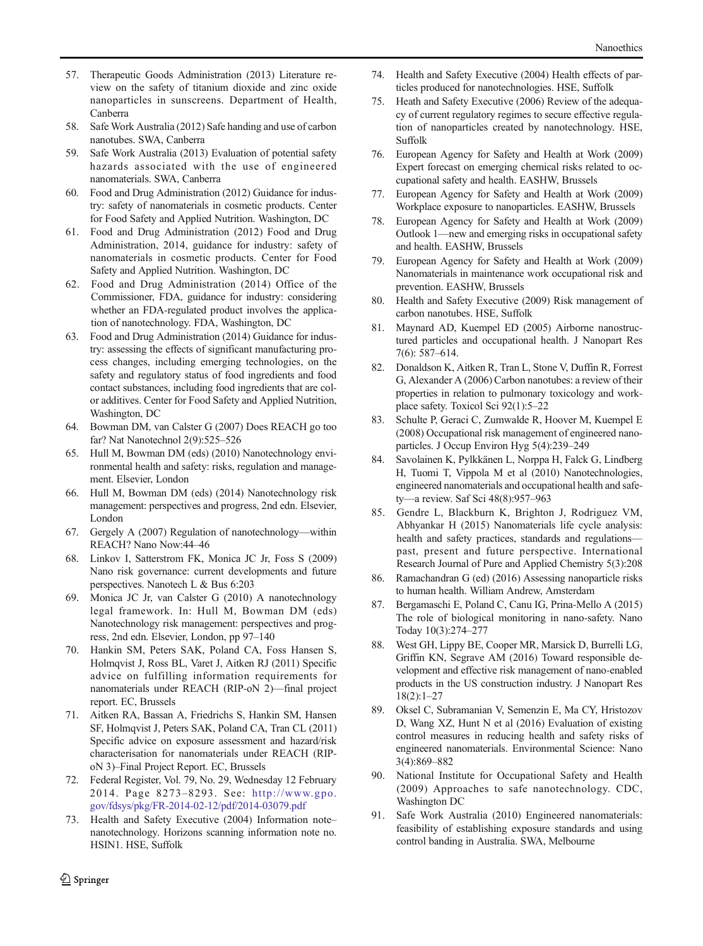- <span id="page-15-0"></span>57. Therapeutic Goods Administration (2013) Literature review on the safety of titanium dioxide and zinc oxide nanoparticles in sunscreens. Department of Health, Canberra
- 58. Safe Work Australia (2012) Safe handing and use of carbon nanotubes. SWA, Canberra
- 59. Safe Work Australia (2013) Evaluation of potential safety hazards associated with the use of engineered nanomaterials. SWA, Canberra
- 60. Food and Drug Administration (2012) Guidance for industry: safety of nanomaterials in cosmetic products. Center for Food Safety and Applied Nutrition. Washington, DC
- 61. Food and Drug Administration (2012) Food and Drug Administration, 2014, guidance for industry: safety of nanomaterials in cosmetic products. Center for Food Safety and Applied Nutrition. Washington, DC
- 62. Food and Drug Administration (2014) Office of the Commissioner, FDA, guidance for industry: considering whether an FDA-regulated product involves the application of nanotechnology. FDA, Washington, DC
- 63. Food and Drug Administration (2014) Guidance for industry: assessing the effects of significant manufacturing process changes, including emerging technologies, on the safety and regulatory status of food ingredients and food contact substances, including food ingredients that are color additives. Center for Food Safety and Applied Nutrition, Washington, DC
- 64. Bowman DM, van Calster G (2007) Does REACH go too far? Nat Nanotechnol 2(9):525–526
- 65. Hull M, Bowman DM (eds) (2010) Nanotechnology environmental health and safety: risks, regulation and management. Elsevier, London
- 66. Hull M, Bowman DM (eds) (2014) Nanotechnology risk management: perspectives and progress, 2nd edn. Elsevier, London
- 67. Gergely A (2007) Regulation of nanotechnology—within REACH? Nano Now:44–46
- 68. Linkov I, Satterstrom FK, Monica JC Jr, Foss S (2009) Nano risk governance: current developments and future perspectives. Nanotech L & Bus 6:203
- 69. Monica JC Jr, van Calster G (2010) A nanotechnology legal framework. In: Hull M, Bowman DM (eds) Nanotechnology risk management: perspectives and progress, 2nd edn. Elsevier, London, pp 97–140
- 70. Hankin SM, Peters SAK, Poland CA, Foss Hansen S, Holmqvist J, Ross BL, Varet J, Aitken RJ (2011) Specific advice on fulfilling information requirements for nanomaterials under REACH (RIP-oN 2)—final project report. EC, Brussels
- 71. Aitken RA, Bassan A, Friedrichs S, Hankin SM, Hansen SF, Holmqvist J, Peters SAK, Poland CA, Tran CL (2011) Specific advice on exposure assessment and hazard/risk characterisation for nanomaterials under REACH (RIPoN 3)–Final Project Report. EC, Brussels
- 72. Federal Register, Vol. 79, No. 29, Wednesday 12 February 2014. Page 8273–8293. See: [http://www.gpo.](http://www.gpo.gov/fdsys/pkg/FR-2014-02-12/pdf/2014-03079.pdf) [gov/fdsys/pkg/FR-2014-02-12/pdf/2014-03079.pdf](http://www.gpo.gov/fdsys/pkg/FR-2014-02-12/pdf/2014-03079.pdf)
- 73. Health and Safety Executive (2004) Information note– nanotechnology. Horizons scanning information note no. HSIN1. HSE, Suffolk
- 74. Health and Safety Executive (2004) Health effects of particles produced for nanotechnologies. HSE, Suffolk
- 75. Heath and Safety Executive (2006) Review of the adequacy of current regulatory regimes to secure effective regulation of nanoparticles created by nanotechnology. HSE, Suffolk
- 76. European Agency for Safety and Health at Work (2009) Expert forecast on emerging chemical risks related to occupational safety and health. EASHW, Brussels
- 77. European Agency for Safety and Health at Work (2009) Workplace exposure to nanoparticles. EASHW, Brussels
- 78. European Agency for Safety and Health at Work (2009) Outlook 1—new and emerging risks in occupational safety and health. EASHW, Brussels
- 79. European Agency for Safety and Health at Work (2009) Nanomaterials in maintenance work occupational risk and prevention. EASHW, Brussels
- 80. Health and Safety Executive (2009) Risk management of carbon nanotubes. HSE, Suffolk
- 81. Maynard AD, Kuempel ED (2005) Airborne nanostructured particles and occupational health. J Nanopart Res 7(6): 587–614.
- 82. Donaldson K, Aitken R, Tran L, Stone V, Duffin R, Forrest G, Alexander A (2006) Carbon nanotubes: a review of their properties in relation to pulmonary toxicology and workplace safety. Toxicol Sci 92(1):5–22
- 83. Schulte P, Geraci C, Zumwalde R, Hoover M, Kuempel E (2008) Occupational risk management of engineered nanoparticles. J Occup Environ Hyg 5(4):239–249
- 84. Savolainen K, Pylkkänen L, Norppa H, Falck G, Lindberg H, Tuomi T, Vippola M et al (2010) Nanotechnologies, engineered nanomaterials and occupational health and safety—a review. Saf Sci 48(8):957–963
- 85. Gendre L, Blackburn K, Brighton J, Rodriguez VM, Abhyankar H (2015) Nanomaterials life cycle analysis: health and safety practices, standards and regulations past, present and future perspective. International Research Journal of Pure and Applied Chemistry 5(3):208
- 86. Ramachandran G (ed) (2016) Assessing nanoparticle risks to human health. William Andrew, Amsterdam
- 87. Bergamaschi E, Poland C, Canu IG, Prina-Mello A (2015) The role of biological monitoring in nano-safety. Nano Today 10(3):274–277
- 88. West GH, Lippy BE, Cooper MR, Marsick D, Burrelli LG, Griffin KN, Segrave AM (2016) Toward responsible development and effective risk management of nano-enabled products in the US construction industry. J Nanopart Res 18(2):1–27
- 89. Oksel C, Subramanian V, Semenzin E, Ma CY, Hristozov D, Wang XZ, Hunt N et al (2016) Evaluation of existing control measures in reducing health and safety risks of engineered nanomaterials. Environmental Science: Nano 3(4):869–882
- 90. National Institute for Occupational Safety and Health (2009) Approaches to safe nanotechnology. CDC, Washington DC
- 91. Safe Work Australia (2010) Engineered nanomaterials: feasibility of establishing exposure standards and using control banding in Australia. SWA, Melbourne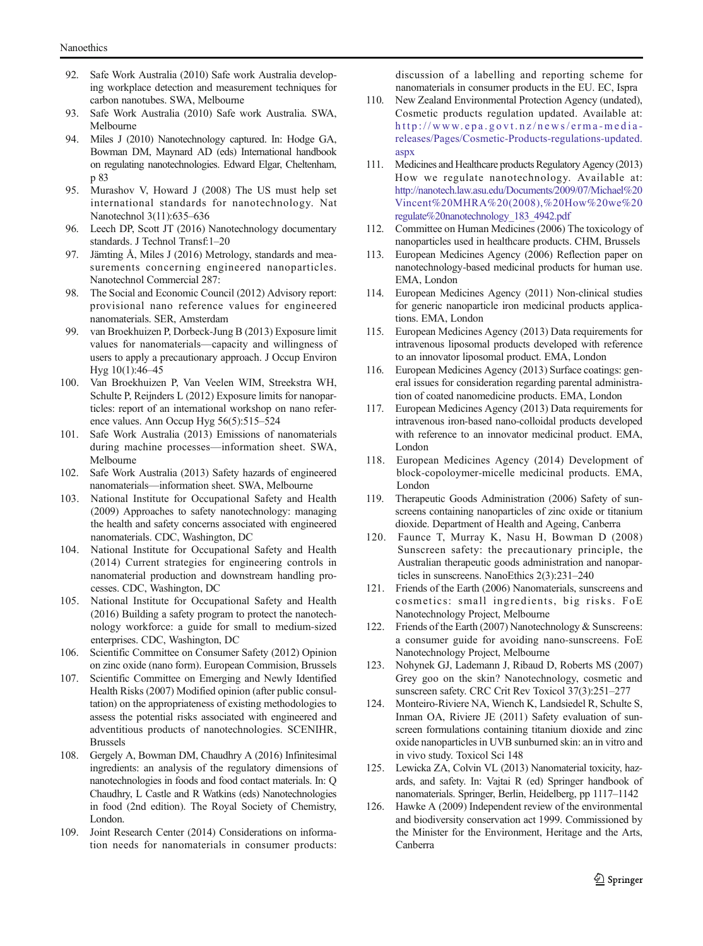- <span id="page-16-0"></span>92. Safe Work Australia (2010) Safe work Australia developing workplace detection and measurement techniques for carbon nanotubes. SWA, Melbourne
- 93. Safe Work Australia (2010) Safe work Australia. SWA, Melbourne
- 94. Miles J (2010) Nanotechnology captured. In: Hodge GA, Bowman DM, Maynard AD (eds) International handbook on regulating nanotechnologies. Edward Elgar, Cheltenham, p 83
- 95. Murashov V, Howard J (2008) The US must help set international standards for nanotechnology. Nat Nanotechnol 3(11):635–636
- 96. Leech DP, Scott JT (2016) Nanotechnology documentary standards. J Technol Transf:1–20
- 97. Jämting Å, Miles J (2016) Metrology, standards and measurements concerning engineered nanoparticles. Nanotechnol Commercial 287:
- 98. The Social and Economic Council (2012) Advisory report: provisional nano reference values for engineered nanomaterials. SER, Amsterdam
- 99. van Broekhuizen P, Dorbeck-Jung B (2013) Exposure limit values for nanomaterials—capacity and willingness of users to apply a precautionary approach. J Occup Environ Hyg 10(1):46–45
- 100. Van Broekhuizen P, Van Veelen WIM, Streekstra WH, Schulte P, Reijnders L (2012) Exposure limits for nanoparticles: report of an international workshop on nano reference values. Ann Occup Hyg 56(5):515–524
- 101. Safe Work Australia (2013) Emissions of nanomaterials during machine processes—information sheet. SWA, Melbourne
- 102. Safe Work Australia (2013) Safety hazards of engineered nanomaterials—information sheet. SWA, Melbourne
- 103. National Institute for Occupational Safety and Health (2009) Approaches to safety nanotechnology: managing the health and safety concerns associated with engineered nanomaterials. CDC, Washington, DC
- 104. National Institute for Occupational Safety and Health (2014) Current strategies for engineering controls in nanomaterial production and downstream handling processes. CDC, Washington, DC
- 105. National Institute for Occupational Safety and Health (2016) Building a safety program to protect the nanotechnology workforce: a guide for small to medium-sized enterprises. CDC, Washington, DC
- 106. Scientific Committee on Consumer Safety (2012) Opinion on zinc oxide (nano form). European Commision, Brussels
- 107. Scientific Committee on Emerging and Newly Identified Health Risks (2007) Modified opinion (after public consultation) on the appropriateness of existing methodologies to assess the potential risks associated with engineered and adventitious products of nanotechnologies. SCENIHR, Brussels
- 108. Gergely A, Bowman DM, Chaudhry A (2016) Infinitesimal ingredients: an analysis of the regulatory dimensions of nanotechnologies in foods and food contact materials. In: Q Chaudhry, L Castle and R Watkins (eds) Nanotechnologies in food (2nd edition). The Royal Society of Chemistry, London.
- 109. Joint Research Center (2014) Considerations on information needs for nanomaterials in consumer products:

discussion of a labelling and reporting scheme for nanomaterials in consumer products in the EU. EC, Ispra

- 110. New Zealand Environmental Protection Agency (undated), Cosmetic products regulation updated. Available at: [http://www.epa.govt.nz/news/erma-media](http://www.epa.govt.nz/news/erma-media-releases/Pages/Cosmetic-Products-regulations-updated.aspx)[releases/Pages/Cosmetic-Products-regulations-updated.](http://www.epa.govt.nz/news/erma-media-releases/Pages/Cosmetic-Products-regulations-updated.aspx) [aspx](http://www.epa.govt.nz/news/erma-media-releases/Pages/Cosmetic-Products-regulations-updated.aspx)
- 111. Medicines and Healthcare products Regulatory Agency (2013) How we regulate nanotechnology. Available at: [http://nanotech.law.asu.edu/Documents/2009/07/Michael%20](http://nanotech.law.asu.edu/Documents/2009/07/Michael%20Vincent%20MHRA%20(2008),%20How%20we%20regulate%20nanotechnology_183_4942.pdf) [Vincent%20MHRA%20\(2008\),%20How%20we%20](http://nanotech.law.asu.edu/Documents/2009/07/Michael%20Vincent%20MHRA%20(2008),%20How%20we%20regulate%20nanotechnology_183_4942.pdf) [regulate%20nanotechnology\\_183\\_4942.pdf](http://nanotech.law.asu.edu/Documents/2009/07/Michael%20Vincent%20MHRA%20(2008),%20How%20we%20regulate%20nanotechnology_183_4942.pdf)
- 112. Committee on Human Medicines (2006) The toxicology of nanoparticles used in healthcare products. CHM, Brussels
- 113. European Medicines Agency (2006) Reflection paper on nanotechnology-based medicinal products for human use. EMA, London
- 114. European Medicines Agency (2011) Non-clinical studies for generic nanoparticle iron medicinal products applications. EMA, London
- 115. European Medicines Agency (2013) Data requirements for intravenous liposomal products developed with reference to an innovator liposomal product. EMA, London
- 116. European Medicines Agency (2013) Surface coatings: general issues for consideration regarding parental administration of coated nanomedicine products. EMA, London
- 117. European Medicines Agency (2013) Data requirements for intravenous iron-based nano-colloidal products developed with reference to an innovator medicinal product. EMA, London
- 118. European Medicines Agency (2014) Development of block-copoloymer-micelle medicinal products. EMA, London
- 119. Therapeutic Goods Administration (2006) Safety of sunscreens containing nanoparticles of zinc oxide or titanium dioxide. Department of Health and Ageing, Canberra
- 120. Faunce T, Murray K, Nasu H, Bowman D (2008) Sunscreen safety: the precautionary principle, the Australian therapeutic goods administration and nanoparticles in sunscreens. NanoEthics 2(3):231–240
- 121. Friends of the Earth (2006) Nanomaterials, sunscreens and cosmetics: small ingredients, big risks. FoE Nanotechnology Project, Melbourne
- 122. Friends of the Earth (2007) Nanotechnology & Sunscreens: a consumer guide for avoiding nano-sunscreens. FoE Nanotechnology Project, Melbourne
- 123. Nohynek GJ, Lademann J, Ribaud D, Roberts MS (2007) Grey goo on the skin? Nanotechnology, cosmetic and sunscreen safety. CRC Crit Rev Toxicol 37(3):251–277
- 124. Monteiro-Riviere NA, Wiench K, Landsiedel R, Schulte S, Inman OA, Riviere JE (2011) Safety evaluation of sunscreen formulations containing titanium dioxide and zinc oxide nanoparticles in UVB sunburned skin: an in vitro and in vivo study. Toxicol Sci 148
- 125. Lewicka ZA, Colvin VL (2013) Nanomaterial toxicity, hazards, and safety. In: Vajtai R (ed) Springer handbook of nanomaterials. Springer, Berlin, Heidelberg, pp 1117–1142
- 126. Hawke A (2009) Independent review of the environmental and biodiversity conservation act 1999. Commissioned by the Minister for the Environment, Heritage and the Arts, Canberra